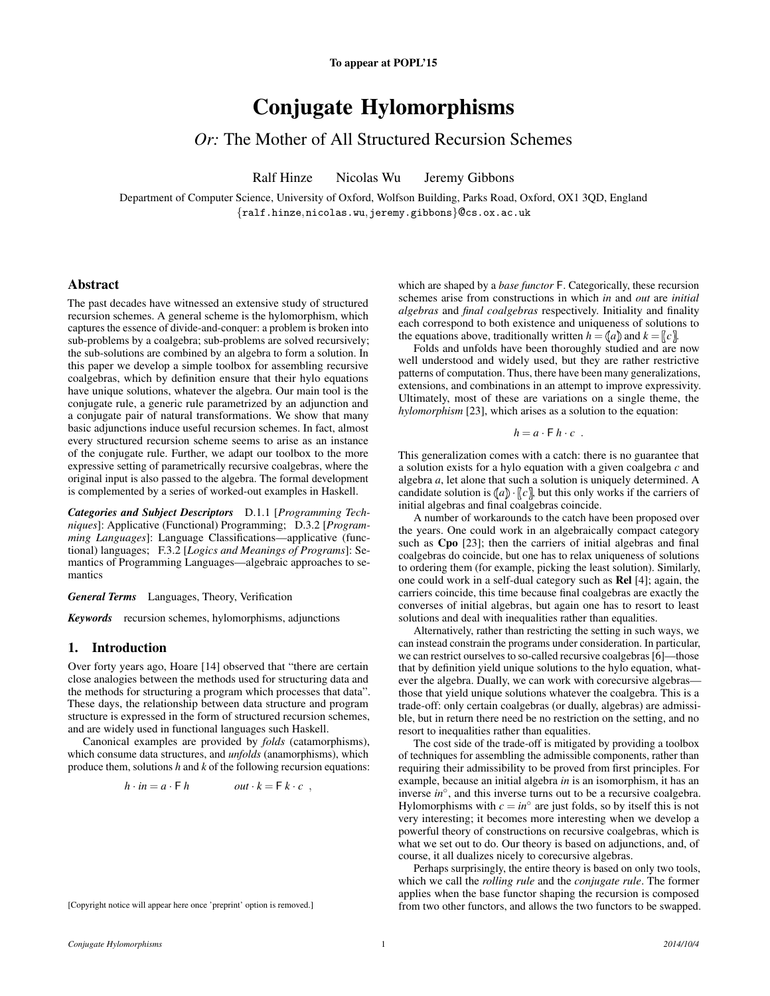# Conjugate Hylomorphisms

# *Or:* The Mother of All Structured Recursion Schemes

Ralf Hinze Nicolas Wu Jeremy Gibbons

Department of Computer Science, University of Oxford, Wolfson Building, Parks Road, Oxford, OX1 3QD, England {ralf.hinze,nicolas.wu,jeremy.gibbons}@cs.ox.ac.uk

# Abstract

The past decades have witnessed an extensive study of structured recursion schemes. A general scheme is the hylomorphism, which captures the essence of divide-and-conquer: a problem is broken into sub-problems by a coalgebra; sub-problems are solved recursively; the sub-solutions are combined by an algebra to form a solution. In this paper we develop a simple toolbox for assembling recursive coalgebras, which by definition ensure that their hylo equations have unique solutions, whatever the algebra. Our main tool is the conjugate rule, a generic rule parametrized by an adjunction and a conjugate pair of natural transformations. We show that many basic adjunctions induce useful recursion schemes. In fact, almost every structured recursion scheme seems to arise as an instance of the conjugate rule. Further, we adapt our toolbox to the more expressive setting of parametrically recursive coalgebras, where the original input is also passed to the algebra. The formal development is complemented by a series of worked-out examples in Haskell.

*Categories and Subject Descriptors* D.1.1 [*Programming Techniques*]: Applicative (Functional) Programming; D.3.2 [*Programming Languages*]: Language Classifications—applicative (functional) languages; F.3.2 [*Logics and Meanings of Programs*]: Semantics of Programming Languages—algebraic approaches to semantics

### *General Terms* Languages, Theory, Verification

*Keywords* recursion schemes, hylomorphisms, adjunctions

# 1. Introduction

Over forty years ago, Hoare [\[14\]](#page-11-0) observed that "there are certain close analogies between the methods used for structuring data and the methods for structuring a program which processes that data". These days, the relationship between data structure and program structure is expressed in the form of structured recursion schemes, and are widely used in functional languages such Haskell.

Canonical examples are provided by *folds* (catamorphisms), which consume data structures, and *unfolds* (anamorphisms), which produce them, solutions *h* and *k* of the following recursion equations:

$$
h \cdot in = a \cdot \mathsf{F} \, h \qquad \qquad out \cdot k = \mathsf{F} \, k \cdot c \ ,
$$

[Copyright notice will appear here once 'preprint' option is removed.]

which are shaped by a *base functor* F. Categorically, these recursion schemes arise from constructions in which *in* and *out* are *initial algebras* and *final coalgebras* respectively. Initiality and finality each correspond to both existence and uniqueness of solutions to the equations above, traditionally written  $h = (a)$  and  $k = (c)$ .

Folds and unfolds have been thoroughly studied and are now well understood and widely used, but they are rather restrictive patterns of computation. Thus, there have been many generalizations, extensions, and combinations in an attempt to improve expressivity. Ultimately, most of these are variations on a single theme, the *hylomorphism* [\[23\]](#page-11-1), which arises as a solution to the equation:

$$
h = a \cdot \mathsf{F} \, h \cdot c \enspace .
$$

This generalization comes with a catch: there is no guarantee that a solution exists for a hylo equation with a given coalgebra *c* and algebra *a*, let alone that such a solution is uniquely determined. A candidate solution is  $\langle a \rangle \cdot \langle c \rangle$ , but this only works if the carriers of initial algebras and final coalgebras coincide.

A number of workarounds to the catch have been proposed over the years. One could work in an algebraically compact category such as Cpo [\[23\]](#page-11-1); then the carriers of initial algebras and final coalgebras do coincide, but one has to relax uniqueness of solutions to ordering them (for example, picking the least solution). Similarly, one could work in a self-dual category such as Rel [\[4\]](#page-11-2); again, the carriers coincide, this time because final coalgebras are exactly the converses of initial algebras, but again one has to resort to least solutions and deal with inequalities rather than equalities.

Alternatively, rather than restricting the setting in such ways, we can instead constrain the programs under consideration. In particular, we can restrict ourselves to so-called recursive coalgebras [\[6\]](#page-11-3)—those that by definition yield unique solutions to the hylo equation, whatever the algebra. Dually, we can work with corecursive algebras those that yield unique solutions whatever the coalgebra. This is a trade-off: only certain coalgebras (or dually, algebras) are admissible, but in return there need be no restriction on the setting, and no resort to inequalities rather than equalities.

The cost side of the trade-off is mitigated by providing a toolbox of techniques for assembling the admissible components, rather than requiring their admissibility to be proved from first principles. For example, because an initial algebra *in* is an isomorphism, it has an inverse *in*◦ , and this inverse turns out to be a recursive coalgebra. Hylomorphisms with  $c = in^{\circ}$  are just folds, so by itself this is not very interesting; it becomes more interesting when we develop a powerful theory of constructions on recursive coalgebras, which is what we set out to do. Our theory is based on adjunctions, and, of course, it all dualizes nicely to corecursive algebras.

Perhaps surprisingly, the entire theory is based on only two tools, which we call the *rolling rule* and the *conjugate rule*. The former applies when the base functor shaping the recursion is composed from two other functors, and allows the two functors to be swapped.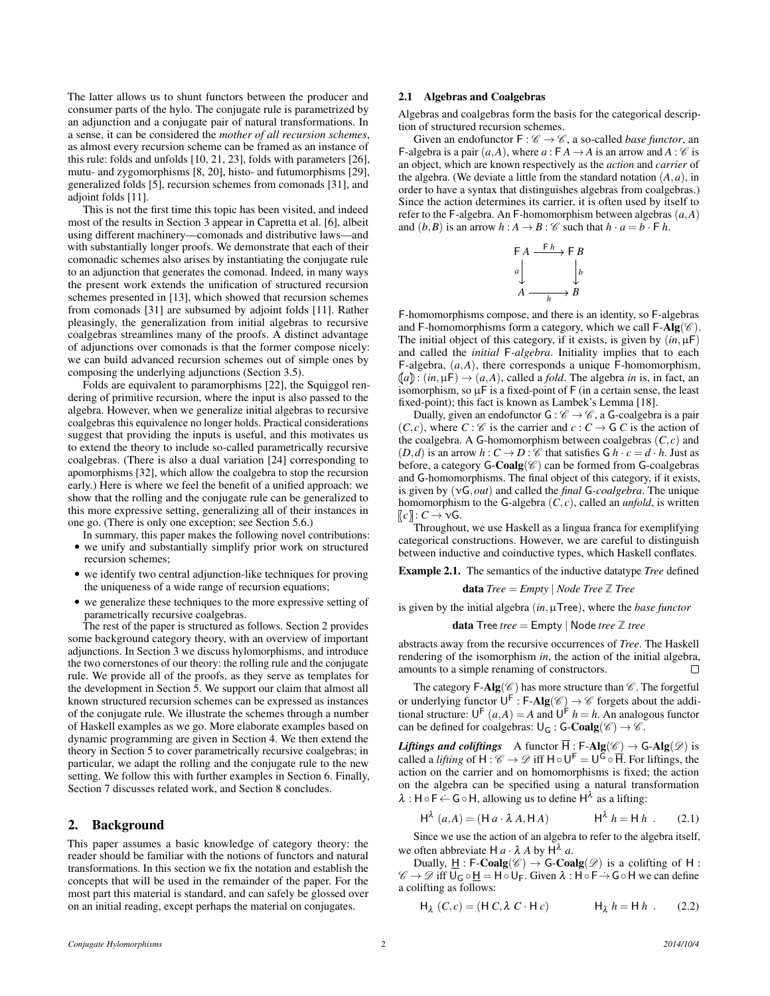The latter allows us to shunt functors between the producer and consumer parts of the hylo. The conjugate rule is parametrized by an adjunction and a conjugate pair of natural transformations. In a sense, it can be considered the *mother of all recursion schemes*, as almost every recursion scheme can be framed as an instance of this rule: folds and unfolds [\[10,](#page-11-4) [21,](#page-11-5) [23\]](#page-11-1), folds with parameters [\[26\]](#page-11-6), mutu- and zygomorphisms [\[8,](#page-11-7) [20\]](#page-11-8), histo- and futumorphisms [\[29\]](#page-11-9), generalized folds [\[5\]](#page-11-10), recursion schemes from comonads [\[31\]](#page-11-11), and adjoint folds [\[11\]](#page-11-12).

This is not the first time this topic has been visited, and indeed most of the results in Section [3](#page-2-0) appear in Capretta et al. [\[6\]](#page-11-3), albeit using different machinery—comonads and distributive laws—and with substantially longer proofs. We demonstrate that each of their comonadic schemes also arises by instantiating the conjugate rule to an adjunction that generates the comonad. Indeed, in many ways the present work extends the unification of structured recursion schemes presented in [\[13\]](#page-11-13), which showed that recursion schemes from comonads [\[31\]](#page-11-11) are subsumed by adjoint folds [\[11\]](#page-11-12). Rather pleasingly, the generalization from initial algebras to recursive coalgebras streamlines many of the proofs. A distinct advantage of adjunctions over comonads is that the former compose nicely: we can build advanced recursion schemes out of simple ones by composing the underlying adjunctions (Section [3.5\)](#page-6-0).

Folds are equivalent to paramorphisms [\[22\]](#page-11-14), the Squiggol rendering of primitive recursion, where the input is also passed to the algebra. However, when we generalize initial algebras to recursive coalgebras this equivalence no longer holds. Practical considerations suggest that providing the inputs is useful, and this motivates us to extend the theory to include so-called parametrically recursive coalgebras. (There is also a dual variation [\[24\]](#page-11-15) corresponding to apomorphisms [\[32\]](#page-11-16), which allow the coalgebra to stop the recursion early.) Here is where we feel the benefit of a unified approach: we show that the rolling and the conjugate rule can be generalized to this more expressive setting, generalizing all of their instances in one go. (There is only one exception; see Section [5.6.](#page-9-0))

- In summary, this paper makes the following novel contributions: • we unify and substantially simplify prior work on structured recursion schemes;
- we identify two central adjunction-like techniques for proving the uniqueness of a wide range of recursion equations;
- we generalize these techniques to the more expressive setting of parametrically recursive coalgebras.

The rest of the paper is structured as follows. Section [2](#page-1-0) provides some background category theory, with an overview of important adjunctions. In Section [3](#page-2-0) we discuss hylomorphisms, and introduce the two cornerstones of our theory: the rolling rule and the conjugate rule. We provide all of the proofs, as they serve as templates for the development in Section [5.](#page-7-0) We support our claim that almost all known structured recursion schemes can be expressed as instances of the conjugate rule. We illustrate the schemes through a number of Haskell examples as we go. More elaborate examples based on dynamic programming are given in Section [4.](#page-6-1) We then extend the theory in Section [5](#page-7-0) to cover parametrically recursive coalgebras; in particular, we adapt the rolling and the conjugate rule to the new setting. We follow this with further examples in Section [6.](#page-9-1) Finally, Section [7](#page-10-0) discusses related work, and Section [8](#page-11-17) concludes.

### <span id="page-1-0"></span>2. Background

This paper assumes a basic knowledge of category theory: the reader should be familiar with the notions of functors and natural transformations. In this section we fix the notation and establish the concepts that will be used in the remainder of the paper. For the most part this material is standard, and can safely be glossed over on an initial reading, except perhaps the material on conjugates.

# 2.1 Algebras and Coalgebras

Algebras and coalgebras form the basis for the categorical description of structured recursion schemes.

Given an endofunctor  $F : \mathscr{C} \to \mathscr{C}$ , a so-called *base functor*, an F-algebra is a pair  $(a, A)$ , where  $a : F A \rightarrow A$  is an arrow and  $A : C$  is an object, which are known respectively as the *action* and *carrier* of the algebra. (We deviate a little from the standard notation  $(A, a)$ , in order to have a syntax that distinguishes algebras from coalgebras.) Since the action determines its carrier, it is often used by itself to refer to the F-algebra. An F-homomorphism between algebras (*a*,*A*) and  $(b, B)$  is an arrow  $h : A \rightarrow B : C$  such that  $h \cdot a = b \cdot F h$ .



F-homomorphisms compose, and there is an identity, so F-algebras and F-homomorphisms form a category, which we call  $\mathsf{F}\text{-}\mathbf{Alg}(\mathscr{C})$ . The initial object of this category, if it exists, is given by  $(in, \mu)$ and called the *initial* F*-algebra*. Initiality implies that to each F-algebra, (*a*,*A*), there corresponds a unique F-homomorphism,  $(a)$ : (*in*,  $\mu$ F)  $\rightarrow$  (*a*,*A*), called a *fold*. The algebra *in* is, in fact, an isomorphism, so  $\mu$ F is a fixed-point of F (in a certain sense, the least fixed-point); this fact is known as Lambek's Lemma [\[18\]](#page-11-18).

Dually, given an endofunctor  $G: \mathscr{C} \to \mathscr{C}$ , a G-coalgebra is a pair  $(C, c)$ , where  $C : \mathscr{C}$  is the carrier and  $c : C \rightarrow G$  *C* is the action of the coalgebra. A G-homomorphism between coalgebras  $(C, c)$  and  $(D,d)$  is an arrow  $h: C \to D: C$  that satisfies  $G h \cdot c = d \cdot h$ . Just as before, a category  $G\text{-}\mathbf{Coalg}(\mathscr{C})$  can be formed from  $G\text{-}\mathrm{coalg}$ and G-homomorphisms. The final object of this category, if it exists, is given by (νG,*out*) and called the *final* G*-coalgebra*. The unique homomorphism to the G-algebra  $(C, c)$ , called an *unfold*, is written  $[c]$  :  $C \rightarrow \nu G$ .

Throughout, we use Haskell as a lingua franca for exemplifying categorical constructions. However, we are careful to distinguish between inductive and coinductive types, which Haskell conflates.

Example 2.1. The semantics of the inductive datatype *Tree* defined

**data**  $Tree = Empty \mid Node \text{Tree } \mathbb{Z}$  *Tree* 

is given by the initial algebra (*in*,µTree), where the *base functor*

data Tree *tree* = Empty | Node *tree* **Z** *tree*

abstracts away from the recursive occurrences of *Tree*. The Haskell rendering of the isomorphism *in*, the action of the initial algebra, amounts to a simple renaming of constructors.  $\Box$ 

The category  $\mathsf{F}\text{-}\mathbf{Alg}(\mathscr{C})$  has more structure than  $\mathscr{C}$ . The forgetful or underlying functor  $U^F$ : F-Alg( $\mathscr{C}$ )  $\rightarrow \mathscr{C}$  forgets about the additional structure:  $U^{\mathsf{F}}(a,A) = A$  and  $U^{\mathsf{F}}(h) = h$ . An analogous functor can be defined for coalgebras:  $\bigcup_{G}$ : **G-Coalg**( $\mathscr{C}$ )  $\rightarrow \mathscr{C}$ .

*Liftings and coliftings* A functor  $\overline{H}$ : F-Alg( $\mathscr{C}$ )  $\rightarrow$  G-Alg( $\mathscr{D}$ ) is called a *lifting* of  $H: \mathscr{C} \to \mathscr{D}$  iff  $H \circ U^{\mathsf{F}} = U^{\mathsf{G}} \circ \overline{H}$ . For liftings, the action on the carrier and on homomorphisms is fixed; the action on the algebra can be specified using a natural transformation  $\lambda : H \circ F \leftarrow G \circ H$ , allowing us to define  $H^{\lambda}$  as a lifting:

<span id="page-1-2"></span>
$$
\mathsf{H}^{\lambda}(a,A) = (\mathsf{H} a \cdot \lambda A, \mathsf{H} A) \qquad \mathsf{H}^{\lambda} h = \mathsf{H} h . \qquad (2.1)
$$

Since we use the action of an algebra to refer to the algebra itself, we often abbreviate H  $a \cdot \lambda A$  by H<sup> $\lambda$ </sup> a.

Dually, H : F-Coalg( $\mathscr{C}$ )  $\rightarrow$  G-Coalg( $\mathscr{D}$ ) is a colifting of H :  $\mathscr{C} \to \mathscr{D}$  iff  $\bigcup_{\mathsf{G}} \circ \underline{\mathsf{H}} = \mathsf{H} \circ \bigcup_{\mathsf{F}}$ . Given  $\lambda : \mathsf{H} \circ \mathsf{F} \to \mathsf{G} \circ \mathsf{H}$  we can define a colifting as follows:

<span id="page-1-1"></span>
$$
\mathsf{H}_{\lambda}(C,c) = (\mathsf{H} C, \lambda C \cdot \mathsf{H} c) \qquad \mathsf{H}_{\lambda} h = \mathsf{H} h . \qquad (2.2)
$$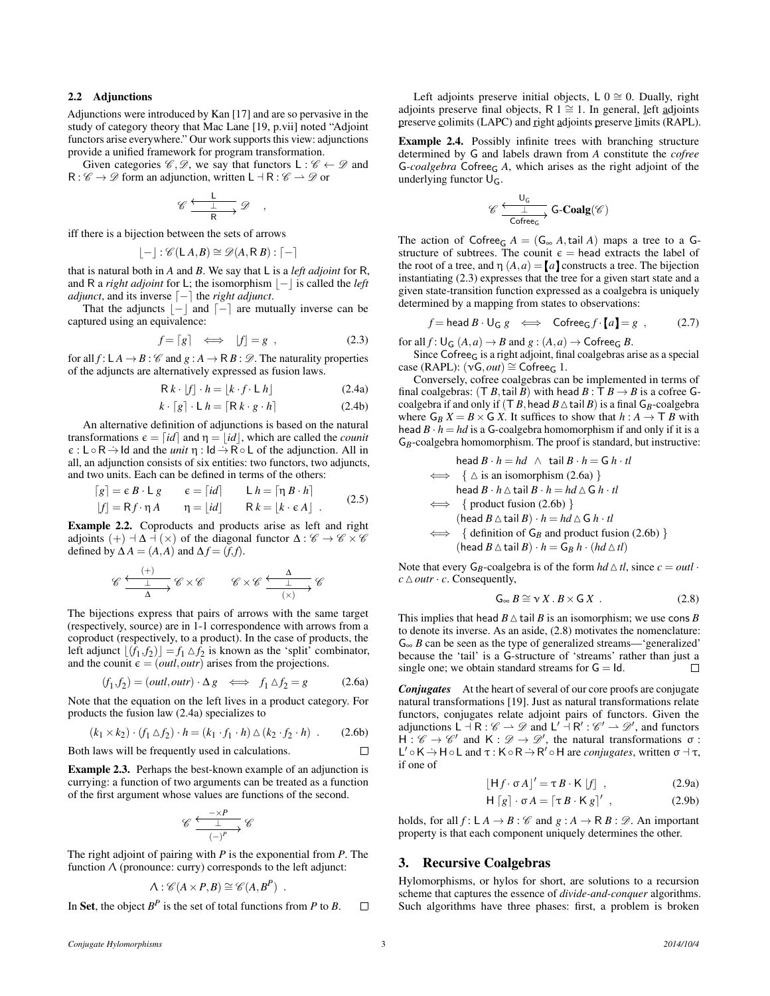# <span id="page-2-8"></span>2.2 Adjunctions

Adjunctions were introduced by Kan [\[17\]](#page-11-19) and are so pervasive in the study of category theory that Mac Lane [\[19,](#page-11-20) p.vii] noted "Adjoint functors arise everywhere." Our work supports this view: adjunctions provide a unified framework for program transformation.

Given categories  $\mathscr{C}, \mathscr{D}$ , we say that functors  $L : \mathscr{C} \leftarrow \mathscr{D}$  and  $R: \mathscr{C} \to \mathscr{D}$  form an adjunction, written  $L \dashv R: \mathscr{C} \to \mathscr{D}$  or

$$
\mathscr{C}\xrightarrow[\begin{array}{c} \bot \\ \hline \mathsf{R} \end{array}\mathscr{D}\quad,
$$

iff there is a bijection between the sets of arrows

$$
\lfloor - \rfloor : \mathscr{C}(\mathsf{L}\,A,B) \cong \mathscr{D}(A,\mathsf{R}\,B): \lceil - \rceil
$$

that is natural both in *A* and *B*. We say that L is a *left adjoint* for R, and R a *right adjoint* for L; the isomorphism  $|-|$  is called the *left adjunct*, and its inverse  $\lceil - \rceil$  the *right adjunct*.

That the adjuncts  $|-|$  and  $[-]$  are mutually inverse can be captured using an equivalence:

<span id="page-2-2"></span>
$$
f = [g] \iff |f| = g , \tag{2.3}
$$

for all  $f: L A \rightarrow B : \mathscr{C}$  and  $g: A \rightarrow R B : \mathscr{D}$ . The naturality properties of the adjuncts are alternatively expressed as fusion laws.

$$
R k \cdot [f] \cdot h = [k \cdot f \cdot L \cdot h]
$$
 (2.4a)

$$
k \cdot [g] \cdot \mathsf{L} \, h = [\mathsf{R} \, k \cdot g \cdot h] \tag{2.4b}
$$

An alternative definition of adjunctions is based on the natural transformations  $\epsilon = \lceil id \rceil$  and  $\eta = |id|$ , which are called the *counit*  $\epsilon : L \circ R \rightarrow Id$  and the *unit*  $\eta : Id \rightarrow R \circ L$  of the adjunction. All in all, an adjunction consists of six entities: two functors, two adjuncts, and two units. Each can be defined in terms of the others:

<span id="page-2-7"></span>
$$
[g] = \varepsilon B \cdot L g \qquad \varepsilon = [id] \qquad L h = [\eta B \cdot h]
$$
  

$$
|f| = Rf \cdot \eta A \qquad \eta = |id| \qquad R k = |k \cdot \varepsilon A| \qquad (2.5)
$$

Example 2.2. Coproducts and products arise as left and right adjoints  $(+)$   $\exists \Delta \exists (x)$  of the diagonal functor  $\Delta : \mathscr{C} \rightarrow \mathscr{C} \times \mathscr{C}$ defined by  $\Delta A = (A, A)$  and  $\Delta f = (f, f)$ .

$$
\mathscr{C}\xrightarrow[\Delta]{\begin{array}{c}\begin{array}{c}\begin{array}{c}\begin{array}{c}\begin{array}{c}\begin{array}{c}\end{array}\end{array}\\\begin{array}{c}\end{array}\\\begin{array}{c}\end{array}\end{array}\\\begin{array}{c}\begin{array}{c}\end{array}\end{array}\end{array}\end{array}\end{array}\mathscr{C}\times\mathscr{C}\end{array}\end{array}\end{array}\qquad\mathscr{C}\times\mathscr{C}\xrightarrow[\begin{array}{c}\begin{array}{c}\begin{array}{c}\begin{array}{c}\begin{array}{c}\end{array}\end{array}\\\begin{array}{c}\begin{array}{c}\begin{array}{c}\end{array}\end{array}\end{array}\end{C}\end{array}\end{array}\end{array}\mathscr{C}
$$

The bijections express that pairs of arrows with the same target (respectively, source) are in 1-1 correspondence with arrows from a coproduct (respectively, to a product). In the case of products, the left adjunct  $\lfloor (\hat{f}_1, f_2) \rfloor = f_1 \triangle f_2$  is known as the 'split' combinator, and the counit  $\epsilon = (outl, outr)$  arises from the projections.

<span id="page-2-3"></span>
$$
(f_1, f_2) = (outl, outr) \cdot \Delta g \iff f_1 \Delta f_2 = g \tag{2.6a}
$$

Note that the equation on the left lives in a product category. For products the fusion law [\(2.4a\)](#page-2-1) specializes to

<span id="page-2-4"></span>
$$
(k_1 \times k_2) \cdot (f_1 \triangle f_2) \cdot h = (k_1 \cdot f_1 \cdot h) \triangle (k_2 \cdot f_2 \cdot h) \quad . \tag{2.6b}
$$

Both laws will be frequently used in calculations.  $\Box$ 

Example 2.3. Perhaps the best-known example of an adjunction is currying: a function of two arguments can be treated as a function of the first argument whose values are functions of the second.

$$
\mathscr{C} \xrightarrow{\begin{array}{c}\n\longrightarrow P \\
\downarrow \\
(-)^p\n\end{array}} \mathscr{C}
$$

The right adjoint of pairing with *P* is the exponential from *P*. The function  $\Lambda$  (pronounce: curry) corresponds to the left adjunct:

$$
\Lambda : \mathscr{C}(A \times P, B) \cong \mathscr{C}(A, B^P) .
$$

In Set, the object  $B^P$  is the set of total functions from P to B.  $\Box$ 

Left adjoints preserve initial objects,  $L 0 \approx 0$ . Dually, right adjoints preserve final objects, R  $1 \cong 1$ . In general, left adjoints preserve colimits (LAPC) and right adjoints preserve limits (RAPL).

<span id="page-2-10"></span>Example 2.4. Possibly infinite trees with branching structure determined by G and labels drawn from *A* constitute the *cofree* G*-coalgebra* Cofree<sup>G</sup> *A*, which arises as the right adjoint of the underlying functor  $U_G$ .

$$
\mathscr{C} \xrightarrow[\text{Cofree_G}]{U_G} \text{G-Coalg}(\mathscr{C})
$$

The action of Cofree<sub>G</sub>  $A = (G_{\infty} A, \text{tail } A)$  maps a tree to a Gstructure of subtrees. The counit  $\epsilon$  = head extracts the label of the root of a tree, and  $\eta$   $(A, a) = [a]$  constructs a tree. The bijection instantiating [\(2.3\)](#page-2-2) expresses that the tree for a given start state and a given state-transition function expressed as a coalgebra is uniquely determined by a mapping from states to observations:

<span id="page-2-9"></span>
$$
f = \text{head } B \cdot \mathsf{U}_\mathsf{G} g \iff \text{Cofree}_\mathsf{G} f \cdot [a] = g , \tag{2.7}
$$

for all  $f: \bigcup_G (A, a) \to B$  and  $g: (A, a) \to \textsf{Cofree}_G B$ .

Since Cofree<sub>G</sub> is a right adjoint, final coalgebras arise as a special case (RAPL):  $(\nu G, out) \cong \text{Cofree}_G$  1.

<span id="page-2-1"></span>Conversely, cofree coalgebras can be implemented in terms of final coalgebras:  $(T B, \text{tail } B)$  with head  $B : T B \rightarrow B$  is a cofree Gcoalgebra if and only if  $(T B)$ , head  $B \triangle$  tail *B*) is a final  $G_B$ -coalgebra where  $G_B X = B \times G X$ . It suffices to show that  $h : A \rightarrow T B$  with head  $B \cdot h = hd$  is a G-coalgebra homomorphism if and only if it is a G*B*-coalgebra homomorphism. The proof is standard, but instructive:

head *B* · *h* = *hd* ∧ tail *B* · *h* = G *h* · *tl*

head *B* · *h* = *hd* ∧ *t*all *B* · *h* = *G h* · *tl*  
\n
$$
\iff \{\triangle \text{ is an isomorphism } (2.6a) \}
$$
\nhead *B* · *h* ∆ *t*ail *B* · *h* = *hd* ∆ *G h* · *tl*  
\n
$$
\iff \{\text{product fusion } (2.6b) \}
$$
\n(head *B* ∆ *t*ail *B*) · *h* = *hd* ∆ *G h* · *tl*  
\n
$$
\iff \{\text{definition of } G_B \text{ and product fusion } (2.6b) \}
$$
\n(head *B* ∆ *t*ail *B*) · *h* = *G*<sub>B</sub> *h* · (*hd* ∆ *tl*)

Note that every  $G_B$ -coalgebra is of the form  $hd \triangle tl$ , since  $c = outl$ .  $c \triangle outr \cdot c$ . Consequently,

<span id="page-2-5"></span>
$$
G_{\infty} B \cong \nu X. B \times G X . \qquad (2.8)
$$

This implies that head  $B \triangle$  tail *B* is an isomorphism; we use cons *B* to denote its inverse. As an aside, [\(2.8\)](#page-2-5) motivates the nomenclature:  $G_{\infty}$  *B* can be seen as the type of generalized streams—'generalized' because the 'tail' is a G-structure of 'streams' rather than just a single one; we obtain standard streams for  $G = Id$ .  $\Box$ 

*Conjugates* At the heart of several of our core proofs are conjugate natural transformations [\[19\]](#page-11-20). Just as natural transformations relate functors, conjugates relate adjoint pairs of functors. Given the adjunctions  $L \dashv R : \mathscr{C} \to \mathscr{D}$  and  $L' \dashv R' : \mathscr{C}' \to \mathscr{D}'$ , and functors  $H : \mathscr{C} \to \mathscr{C}'$  and  $K : \mathscr{D} \to \mathscr{D}'$ , the natural transformations  $\sigma$ : L' ∘ K → H ∘ L and τ : K ∘ R → R' ∘ H are *conjugates*, written σ ⊣ τ, if one of

<span id="page-2-11"></span><span id="page-2-6"></span>
$$
[\mathsf{H}f \cdot \sigma A]' = \tau B \cdot \mathsf{K} [f], \qquad (2.9a)
$$

$$
\mathsf{H}\left[g\right] \cdot \sigma A = \left[\tau B \cdot \mathsf{K}\,g\right]'
$$
\n(2.9b)

holds, for all  $f: L A \rightarrow B : \mathscr{C}$  and  $g: A \rightarrow R B : \mathscr{D}$ . An important property is that each component uniquely determines the other.

# <span id="page-2-0"></span>3. Recursive Coalgebras

Hylomorphisms, or hylos for short, are solutions to a recursion scheme that captures the essence of *divide-and-conquer* algorithms. Such algorithms have three phases: first, a problem is broken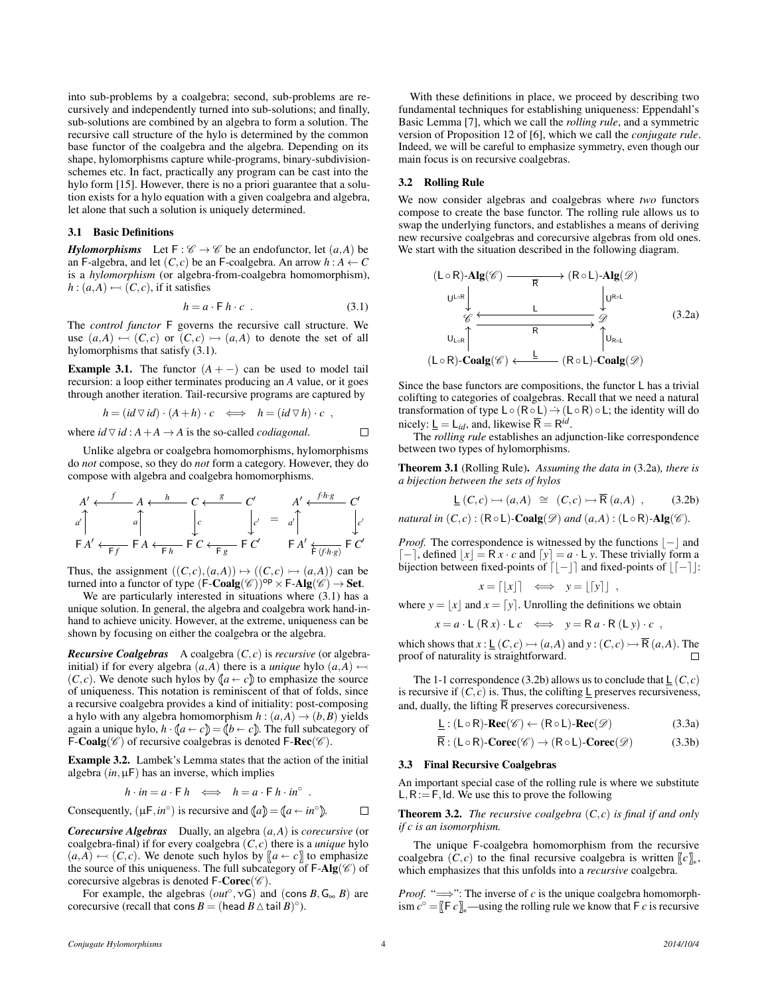into sub-problems by a coalgebra; second, sub-problems are recursively and independently turned into sub-solutions; and finally, sub-solutions are combined by an algebra to form a solution. The recursive call structure of the hylo is determined by the common base functor of the coalgebra and the algebra. Depending on its shape, hylomorphisms capture while-programs, binary-subdivisionschemes etc. In fact, practically any program can be cast into the hylo form [\[15\]](#page-11-21). However, there is no a priori guarantee that a solution exists for a hylo equation with a given coalgebra and algebra, let alone that such a solution is uniquely determined.

# 3.1 Basic Definitions

*Hylomorphisms* Let  $F: \mathcal{C} \to \mathcal{C}$  be an endofunctor, let  $(a, A)$  be an F-algebra, and let  $(C, c)$  be an F-coalgebra. An arrow  $h : A \leftarrow C$ is a *hylomorphism* (or algebra-from-coalgebra homomorphism),  $h : (a, A) \leftarrow (C, c)$ , if it satisfies

<span id="page-3-0"></span>
$$
h = a \cdot \mathsf{F} \, h \cdot c \tag{3.1}
$$

The *control functor* F governs the recursive call structure. We use  $(a,A) \leftarrow (C,c)$  or  $(C,c) \rightarrow (a,A)$  to denote the set of all hylomorphisms that satisfy [\(3.1\)](#page-3-0).

<span id="page-3-4"></span>**Example 3.1.** The functor  $(A + -)$  can be used to model tail recursion: a loop either terminates producing an *A* value, or it goes through another iteration. Tail-recursive programs are captured by

$$
h = (id \triangledown id) \cdot (A + h) \cdot c \iff h = (id \triangledown h) \cdot c ,
$$
  
where  $id \triangledown id : A + A \rightarrow A$  is the so-called *codiagonal*.

Unlike algebra or coalgebra homomorphisms, hylomorphisms do *not* compose, so they do *not* form a category. However, they do compose with algebra and coalgebra homomorphisms.

$$
A' \leftarrow f \qquad A \leftarrow h \qquad C \leftarrow g \qquad C' \qquad A' \leftarrow f h \cdot g \qquad C'
$$
\n
$$
a' \uparrow a \qquad a \qquad c \qquad c \qquad c' \qquad d' \leftarrow f h \cdot g \qquad c'
$$
\n
$$
FA' \leftarrow f \qquad F A \leftarrow f h \qquad F C \leftarrow f g \qquad F C' \qquad F A' \leftarrow f \cdot f h \cdot g \qquad F C'
$$

Thus, the assignment  $((C, c), (a, A)) \mapsto ((C, c) \rightarrow (a, A))$  can be turned into a functor of type  $(F\text{-}\mathbf{Coalg}(\mathscr{C}))^{op} \times F\text{-}\mathbf{Alg}(\mathscr{C}) \to \mathbf{Set}.$ 

We are particularly interested in situations where  $(3.1)$  has a unique solution. In general, the algebra and coalgebra work hand-inhand to achieve unicity. However, at the extreme, uniqueness can be shown by focusing on either the coalgebra or the algebra.

*Recursive Coalgebras* A coalgebra (*C*, *c*) is *recursive* (or algebrainitial) if for every algebra  $(a, A)$  there is a *unique* hylo  $(a, A) \leftarrow$  $(C, c)$ . We denote such hylos by  $(a \leftarrow c)$  to emphasize the source of uniqueness. This notation is reminiscent of that of folds, since a recursive coalgebra provides a kind of initiality: post-composing a hylo with any algebra homomorphism  $h : (a, A) \rightarrow (b, B)$  yields again a unique hylo,  $h \cdot (a \leftarrow c) = (b \leftarrow c)$ . The full subcategory of F-Coalg( $\mathscr{C}$ ) of recursive coalgebras is denoted F-Rec( $\mathscr{C}$ ).

Example 3.2. Lambek's Lemma states that the action of the initial algebra  $(in, \mu)$  has an inverse, which implies

$$
h \cdot in = a \cdot \mathsf{F} h \iff h = a \cdot \mathsf{F} h \cdot in^{\circ} .
$$

Consequently, 
$$
(\mu \mathsf{F}, in^{\circ})
$$
 is recursive and  $(a) = (a \leftarrow in^{\circ})$ .

*Corecursive Algebras* Dually, an algebra (*a*,*A*) is *corecursive* (or coalgebra-final) if for every coalgebra  $(C, c)$  there is a *unique* hylo  $(a,A) \leftarrow (C,c)$ . We denote such hylos by  $[a \leftarrow c]$  to emphasize the source of this uniqueness. The full subcategory of  $\mathsf{F}\text{-}\mathbf{Alg}(\mathscr{C})$  of corecursive algebras is denoted  $\mathsf{F}\text{-}\mathbf{Corec}(\mathscr{C})$ .

For example, the algebras  $(out^{\circ}, vG)$  and  $(\text{cons } B, G_{\infty} B)$  are corecursive (recall that cons  $B = (\text{head } B \triangle \text{tail } B)^\circ$ ).

With these definitions in place, we proceed by describing two fundamental techniques for establishing uniqueness: Eppendahl's Basic Lemma [\[7\]](#page-11-22), which we call the *rolling rule*, and a symmetric version of Proposition 12 of [\[6\]](#page-11-3), which we call the *conjugate rule*. Indeed, we will be careful to emphasize symmetry, even though our main focus is on recursive coalgebras.

### <span id="page-3-5"></span>3.2 Rolling Rule

We now consider algebras and coalgebras where *two* functors compose to create the base functor. The rolling rule allows us to swap the underlying functors, and establishes a means of deriving new recursive coalgebras and corecursive algebras from old ones. We start with the situation described in the following diagram.

<span id="page-3-1"></span>

Since the base functors are compositions, the functor L has a trivial colifting to categories of coalgebras. Recall that we need a natural transformation of type  $L \circ (R \circ L) \rightarrow (L \circ R) \circ L$ ; the identity will do nicely:  $\underline{\mathsf{L}} = \mathsf{L}_{id}$ , and, likewise  $\overline{\mathsf{R}} = \mathsf{R}^{id}$ .

The *rolling rule* establishes an adjunction-like correspondence between two types of hylomorphisms.

Theorem 3.1 (Rolling Rule). *Assuming the data in* [\(3.2a\)](#page-3-1)*, there is a bijection between the sets of hylos*

<span id="page-3-2"></span>
$$
\underline{\mathsf{L}}\,(C,c) \rightarrowtail (a,A) \cong (C,c) \rightarrowtail \overline{\mathsf{R}}\,(a,A) , \qquad (3.2b)
$$

*natural in*  $(C, c)$  :  $(R \circ L)$ -Coalg $(\mathscr{D})$  *and*  $(a, A)$  :  $(L \circ R)$ -Alg $(\mathscr{C})$ *.* 

*Proof.* The correspondence is witnessed by the functions  $|-$  and  $\lceil - \rceil$ , defined  $\lceil x \rceil = \mathsf{R} x \cdot c$  and  $\lceil y \rceil = a \cdot \mathsf{L} y$ . These trivially form a bijection between fixed-points of  $\lceil -\rceil$  and fixed-points of  $\lceil -\rceil$ : *x* = db*x*ce ⇐⇒ *y* = bd*y*ec ,

$$
x = |[x]| \iff y = |[y]|,
$$

where  $y = |x|$  and  $x = [y]$ . Unrolling the definitions we obtain

$$
x = a \cdot L (R x) \cdot L c \iff y = R a \cdot R (L y) \cdot c ,
$$

which shows that  $x : \underline{\mathsf{L}}(C, c) \rightarrowtail (a, A)$  and  $y : (C, c) \rightarrowtail \overline{\mathsf{R}}(a, A)$ . The proof of naturality is straightforward.  $\Box$ 

The 1-1 correspondence [\(3.2b\)](#page-3-2) allows us to conclude that  $\mathsf{L}(C, c)$ is recursive if  $(C, c)$  is. Thus, the colifting  $\underline{\mathsf{L}}$  preserves recursiveness, and, dually, the lifting  $\overline{R}$  preserves corecursiveness.

<span id="page-3-3"></span>
$$
\underline{\mathsf{L}} : (\mathsf{L} \circ \mathsf{R}) \text{-} \mathbf{Rec}(\mathscr{C}) \leftarrow (\mathsf{R} \circ \mathsf{L}) \text{-} \mathbf{Rec}(\mathscr{D}) \tag{3.3a}
$$

$$
\overline{\mathsf{R}}: (\mathsf{L} \circ \mathsf{R})\text{-}\mathbf{Corec}(\mathscr{C}) \to (\mathsf{R} \circ \mathsf{L})\text{-}\mathbf{Corec}(\mathscr{D}) \tag{3.3b}
$$

#### 3.3 Final Recursive Coalgebras

An important special case of the rolling rule is where we substitute  $L, R := F$ , Id. We use this to prove the following

<span id="page-3-6"></span>**Theorem 3.2.** *The recursive coalgebra*  $(C, c)$  *is final if and only if c is an isomorphism.*

The unique F-coalgebra homomorphism from the recursive coalgebra  $(C, c)$  to the final recursive coalgebra is written  $\llbracket c \rrbracket_*$ , which emphasizes that this unfolds into a *recursive* coalgebra.

*Proof.* " $\Longrightarrow$ ": The inverse of *c* is the unique coalgebra homomorph- $\lim_{x \to \infty} c^\circ = [F \ c]_*$ —using the rolling rule we know that F *c* is recursive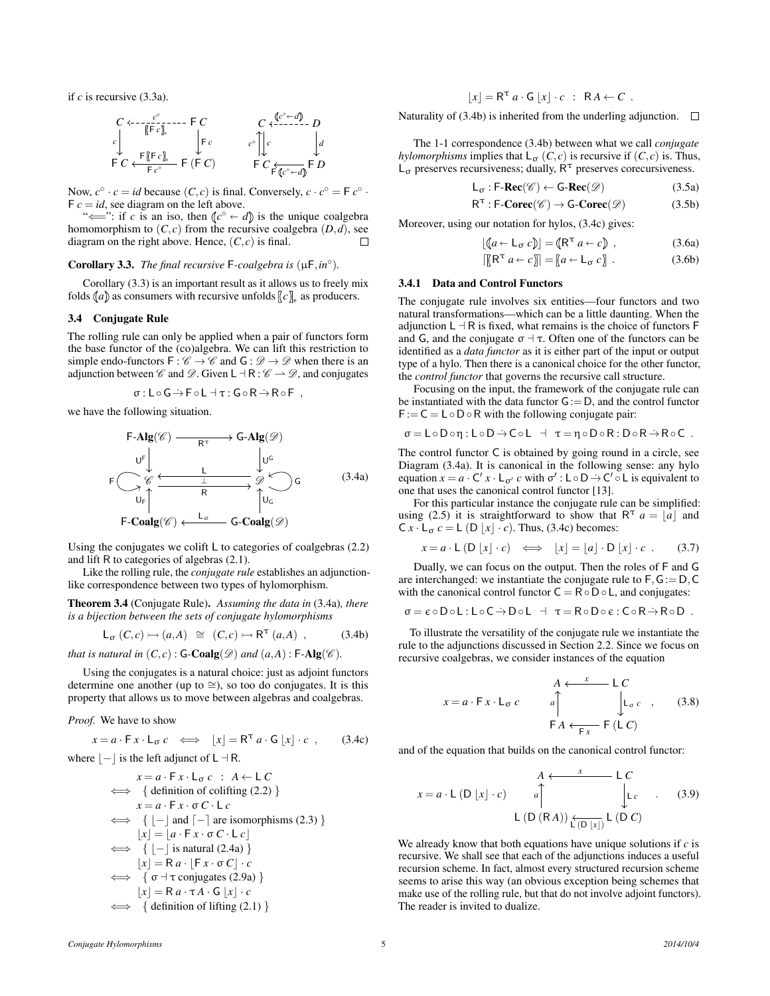if *c* is recursive [\(3.3a\)](#page-3-3).

$$
\begin{array}{ccc}\nC & \leftarrow & -\frac{c^{\circ}}{\left[\left\lceil \vec{F} \, c \right\rceil\right]_{*}} & \mathsf{F} \ C \\
\downarrow & & \mathsf{F} \ c \\
\mathsf{F} \ C & \leftarrow & \mathsf{F} \ C \\
\mathsf{F} \ C & \leftarrow & \mathsf{F} \ C\n\end{array}\n\quad\n\begin{array}{ccc}\nC & \leftarrow & \mathsf{C} \ C^{\circ} \leftarrow d \\
\downarrow & \mathsf{F} \ C & \mathsf{F} \ C \\
\downarrow & \mathsf{F} \ C & \mathsf{F} \ C \\
\mathsf{F} \ C^{\circ} \leftarrow d\n\end{array}\n\quad\n\begin{array}{ccc}\nD & & \mathsf{F} \ C & \mathsf{F} \ C \\
\downarrow & \mathsf{F} \ C & \mathsf{F} \ C\n\end{array}
$$

Now,  $c^{\circ} \cdot c = id$  because  $(C, c)$  is final. Conversely,  $c \cdot c^{\circ} = F c^{\circ} \cdot$  $F c = id$ , see diagram on the left above.

" $\iff$ ": if *c* is an iso, then  $\left(\begin{matrix} c^{\circ} & \leftarrow & d \end{matrix}\right)$  is the unique coalgebra homomorphism to  $(C, c)$  from the recursive coalgebra  $(D, d)$ , see diagram on the right above. Hence,  $(C, c)$  is final. П

# <span id="page-4-0"></span>Corollary 3.3. *The final recursive*  $F$ -coalgebra is  $(\mu F, in^{\circ})$ .

Corollary [\(3.3\)](#page-4-0) is an important result as it allows us to freely mix folds  $(a)$  as consumers with recursive unfolds  $[c]_{*}$  as producers.

#### 3.4 Conjugate Rule

The rolling rule can only be applied when a pair of functors form the base functor of the (co)algebra. We can lift this restriction to simple endo-functors  $F : \mathscr{C} \to \mathscr{C}$  and  $G : \mathscr{D} \to \mathscr{D}$  when there is an adjunction between  $\mathscr C$  and  $\mathscr D$ . Given  $L \dashv R : \mathscr C \to \mathscr D$ , and conjugates

$$
\sigma: L \circ G \rightarrow F \circ L \dashv \tau: G \circ R \rightarrow R \circ F ,
$$

we have the following situation.

<span id="page-4-1"></span>
$$
\begin{array}{ccc}\n\text{F-Alg}(\mathscr{C}) & \xrightarrow{\mathbf{R}^{\tau}} & \text{G-Alg}(\mathscr{D}) \\
\downarrow{\mathbf{U}^{\mathsf{F}}} & & \downarrow{\mathbf{U}^{\mathsf{G}}} \\
\text{F} & & \xleftarrow{\mathscr{C}} & \xleftarrow{\mathsf{L}} & \mathscr{D} & \\
\downarrow{\mathbf{U}^{\mathsf{G}}} & & \uparrow{\mathbf{R}} & \uparrow{\mathbf{U}_{\mathsf{G}}} \\
\downarrow{\mathbf{U}_{\mathsf{F}}} & & \uparrow{\mathbf{U}_{\mathsf{G}}} & & \\
\text{F-Coalg}(\mathscr{C}) & \xleftarrow{\mathsf{L}_{\sigma}} & \text{G-Coalg}(\mathscr{D})\n\end{array} \tag{3.4a}
$$

Using the conjugates we colift L to categories of coalgebras [\(2.2\)](#page-1-1) and lift R to categories of algebras [\(2.1\)](#page-1-2).

Like the rolling rule, the *conjugate rule* establishes an adjunctionlike correspondence between two types of hylomorphism.

<span id="page-4-8"></span>Theorem 3.4 (Conjugate Rule). *Assuming the data in* [\(3.4a\)](#page-4-1)*, there is a bijection between the sets of conjugate hylomorphisms*

<span id="page-4-2"></span>
$$
\mathsf{L}_{\sigma}(C,c) \rightarrowtail (a,A) \cong (C,c) \rightarrowtail \mathsf{R}^{\tau}(a,A) , \tag{3.4b}
$$

*that is natural in*  $(C, c)$ :  $G$ - $Coalg(\mathscr{D})$  *and*  $(a, A)$ :  $F$ - $Alg(\mathscr{C})$ *.* 

Using the conjugates is a natural choice: just as adjoint functors determine one another (up to  $\cong$ ), so too do conjugates. It is this property that allows us to move between algebras and coalgebras.

*Proof.* We have to show

<span id="page-4-3"></span>
$$
x = a \cdot \mathsf{F} x \cdot \mathsf{L}_{\sigma} c \iff [x] = \mathsf{R}^{\tau} a \cdot \mathsf{G} [x] \cdot c , \quad (3.4c)
$$

where  $|-$  is the left adjunct of L  $\neg R$ .

$$
x = a \cdot F x \cdot L_{\sigma} c : A \leftarrow L C
$$
  
\n
$$
\iff \{ \text{definition of colifting (2.2)} \}
$$
  
\n
$$
x = a \cdot F x \cdot \sigma C \cdot L c
$$
  
\n
$$
\iff \{ [- ] \text{ and } [- ] \text{ are isomorphisms (2.3)} \}
$$
  
\n
$$
[x] = [a \cdot F x \cdot \sigma C \cdot L c]
$$
  
\n
$$
\iff \{ [- ] \text{ is natural (2.4a)} \}
$$
  
\n
$$
[x] = R a \cdot [F x \cdot \sigma C] \cdot c
$$
  
\n
$$
\iff \{ \sigma \dashv \text{ conjugates (2.9a)} \}
$$
  
\n
$$
[x] = R a \cdot \tau A \cdot G [x] \cdot c
$$
  
\n
$$
\iff \{ \text{definition of lifting (2.1)} \}
$$

$$
[x] = \mathsf{R}^{\tau} a \cdot \mathsf{G} [x] \cdot c : \mathsf{R} A \leftarrow C .
$$

Naturality of [\(3.4b\)](#page-4-2) is inherited from the underling adjunction.  $\Box$ 

The 1-1 correspondence [\(3.4b\)](#page-4-2) between what we call *conjugate hylomorphisms* implies that  $L_{\sigma}(C, c)$  is recursive if  $(C, c)$  is. Thus,  $L_{\sigma}$  preserves recursiveness; dually,  $R^{\tau}$  preserves corecursiveness.

$$
\mathsf{L}_{\sigma} : \mathsf{F}\text{-}\mathbf{Rec}(\mathscr{C}) \leftarrow \mathsf{G}\text{-}\mathbf{Rec}(\mathscr{D}) \tag{3.5a}
$$

$$
R^{\tau} : F\text{-}Corec(\mathscr{C}) \to G\text{-}Corec(\mathscr{D}) \tag{3.5b}
$$

Moreover, using our notation for hylos, [\(3.4c\)](#page-4-3) gives:

$$
[(a \leftarrow L_{\sigma} c)] = (R^{\tau} a \leftarrow c), \qquad (3.6a)
$$

<span id="page-4-4"></span>
$$
\left[\left[\mathbb{R}^{\mathsf{T}}\,a\leftarrow c\right]\right]=\left[a\leftarrow\mathsf{L}_{\mathfrak{C}}\,c\right]\,. \tag{3.6b}
$$

# 3.4.1 Data and Control Functors

The conjugate rule involves six entities—four functors and two natural transformations—which can be a little daunting. When the adjunction  $L \dashv R$  is fixed, what remains is the choice of functors F and G, and the conjugate  $\sigma \dashv \tau$ . Often one of the functors can be identified as a *data functor* as it is either part of the input or output type of a hylo. Then there is a canonical choice for the other functor, the *control functor* that governs the recursive call structure.

Focusing on the input, the framework of the conjugate rule can be instantiated with the data functor  $G := D$ , and the control functor  $F := C = L ∘ D ∘ R$  with the following conjugate pair:

$$
\sigma = L \circ D \circ \eta : L \circ D \rightarrow C \circ L \quad \dashv \quad \tau = \eta \circ D \circ R : D \circ R \rightarrow R \circ C \enspace .
$$

The control functor C is obtained by going round in a circle, see Diagram [\(3.4a\)](#page-4-1). It is canonical in the following sense: any hylo equation  $x = a \cdot C' x \cdot L_{\sigma'} c$  with  $\sigma' : L \circ D \to C' \circ L$  is equivalent to one that uses the canonical control functor [\[13\]](#page-11-13).

For this particular instance the conjugate rule can be simplified: using [\(2.5\)](#page-2-7) it is straightforward to show that  $R^{\tau}$  *a* = |*a*| and  $C x \cdot L_{\sigma} c = L (D |x| \cdot c)$ . Thus, [\(3.4c\)](#page-4-3) becomes:

<span id="page-4-7"></span>
$$
x = a \cdot L \left( D \left[ x \right] \cdot c \right) \iff \left[ x \right] = \left[ a \right] \cdot D \left[ x \right] \cdot c \tag{3.7}
$$

Dually, we can focus on the output. Then the roles of F and G are interchanged: we instantiate the conjugate rule to  $F, G := D, C$ with the canonical control functor  $C = R \circ D \circ L$ , and conjugates:

$$
\sigma = \varepsilon \circ D \circ L : L \circ C \to D \circ L \ \ \, \dashv \ \, \tau = R \circ D \circ \varepsilon : C \circ R \to R \circ D \ \, .
$$

To illustrate the versatility of the conjugate rule we instantiate the rule to the adjunctions discussed in Section [2.2.](#page-2-8) Since we focus on recursive coalgebras, we consider instances of the equation

<span id="page-4-6"></span>
$$
x = a \cdot F \cdot L_{\sigma} c
$$
\n
$$
A \leftarrow x - L C
$$
\n
$$
A \leftarrow x - L C
$$
\n
$$
L_{\sigma} c , (3.8)
$$
\n
$$
F A \leftarrow F_{\overline{x}} F (L C)
$$

and of the equation that builds on the canonical control functor:

<span id="page-4-5"></span>
$$
x = a \cdot L \text{ (D } [x] \cdot c) \qquad a \qquad \qquad \downarrow c
$$
\n
$$
L \text{ (D } [R A]) \xrightarrow{\text{A } \downarrow \downarrow c} L \text{ (3.9)}
$$
\n
$$
L \text{ (D } (R A)) \xrightarrow{\text{C } [x]} L \text{ (D } C)
$$

We already know that both equations have unique solutions if *c* is recursive. We shall see that each of the adjunctions induces a useful recursion scheme. In fact, almost every structured recursion scheme seems to arise this way (an obvious exception being schemes that make use of the rolling rule, but that do not involve adjoint functors). The reader is invited to dualize.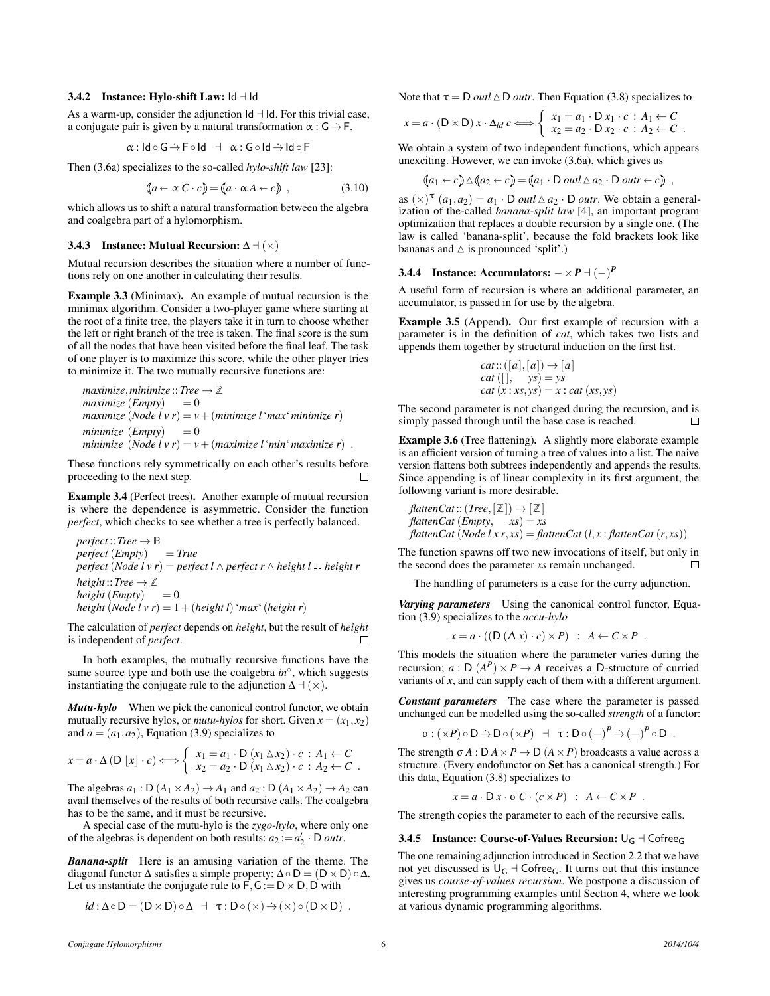# 3.4.2 Instance: Hylo-shift Law:  $\mathsf{Id} \dashv \mathsf{Id}$

As a warm-up, consider the adjunction  $Id - Id$ . For this trivial case, a conjugate pair is given by a natural transformation  $\alpha$ :  $G \rightarrow F$ .

$$
\alpha: \mathsf{Id} \circ \mathsf{G} \rightarrow \mathsf{F} \circ \mathsf{Id} \;\; \dashv \;\; \alpha: \mathsf{G} \circ \mathsf{Id} \rightarrow \mathsf{Id} \circ \mathsf{F}
$$

Then [\(3.6a\)](#page-4-4) specializes to the so-called *hylo-shift law* [\[23\]](#page-11-1):

<span id="page-5-1"></span>
$$
(a \leftarrow \alpha C \cdot c) = (a \cdot \alpha A \leftarrow c), \qquad (3.10)
$$

which allows us to shift a natural transformation between the algebra and coalgebra part of a hylomorphism.

### <span id="page-5-2"></span>3.4.3 Instance: Mutual Recursion:  $\Delta \vdash (\times)$

Mutual recursion describes the situation where a number of functions rely on one another in calculating their results.

Example 3.3 (Minimax). An example of mutual recursion is the minimax algorithm. Consider a two-player game where starting at the root of a finite tree, the players take it in turn to choose whether the left or right branch of the tree is taken. The final score is the sum of all the nodes that have been visited before the final leaf. The task of one player is to maximize this score, while the other player tries to minimize it. The two mutually recursive functions are:

$$
maximize, minimize :: Tree \rightarrow \mathbb{Z}
$$
  
\n
$$
maximize (Empty) = 0
$$
  
\n
$$
maximize (Node \, l \, v \, r) = v + (minimize \, l \, 'max \, 'minimize \, r)
$$
  
\n
$$
minimize (Empty) = 0
$$
  
\n
$$
minimize (Node \, l \, v \, r) = v + (maximize \, l \, 'min' \, maximize \, r) \, .
$$

These functions rely symmetrically on each other's results before proceeding to the next step.

Example 3.4 (Perfect trees). Another example of mutual recursion is where the dependence is asymmetric. Consider the function *perfect*, which checks to see whether a tree is perfectly balanced.

*perfect*::  $Tree \rightarrow \mathbb{B}$ *perfect* (*Empty*) = *True perfect* (*Node l v r*) = *perfect*  $l \wedge$  *perfect*  $r \wedge$  *height l* = *height r height*::*Tree*  $\rightarrow \mathbb{Z}$  $height (Empty) = 0$ *height* (*Node l v r*) =  $1 + (height l)$  '*max*' (*height r*)

The calculation of *perfect* depends on *height*, but the result of *height* is independent of *perfect*.  $\Box$ 

In both examples, the mutually recursive functions have the same source type and both use the coalgebra *in*<sup>°</sup>, which suggests instantiating the conjugate rule to the adjunction  $\Delta \mathcal{A}(\times)$ .

*Mutu-hylo* When we pick the canonical control functor, we obtain mutually recursive hylos, or *mutu-hylos* for short. Given  $x = (x_1, x_2)$ and  $a = (a_1, a_2)$ , Equation [\(3.9\)](#page-4-5) specializes to

$$
x = a \cdot \Delta(D[x] \cdot c) \Longleftrightarrow \begin{cases} x_1 = a_1 \cdot D(x_1 \Delta x_2) \cdot c : A_1 \leftarrow C \\ x_2 = a_2 \cdot D(x_1 \Delta x_2) \cdot c : A_2 \leftarrow C \end{cases}.
$$

The algebras  $a_1 : D(A_1 \times A_2) \rightarrow A_1$  and  $a_2 : D(A_1 \times A_2) \rightarrow A_2$  can avail themselves of the results of both recursive calls. The coalgebra has to be the same, and it must be recursive.

A special case of the mutu-hylo is the *zygo-hylo*, where only one of the algebras is dependent on both results:  $a_2 := a'_2 \cdot D$  *outr*.

*Banana-split* Here is an amusing variation of the theme. The diagonal functor  $\Delta$  satisfies a simple property:  $\Delta \circ D = (D \times D) \circ \Delta$ . Let us instantiate the conjugate rule to  $F, G := D \times D, D$  with

$$
id: \Delta \circ D = (D \times D) \circ \Delta + \tau : D \circ (\times) \rightarrow (\times) \circ (D \times D) .
$$

Note that  $\tau = D$  *outl*  $\triangle D$  *outr*. Then Equation [\(3.8\)](#page-4-6) specializes to

$$
x = a \cdot (D \times D) x \cdot \Delta_{id} c \Longleftrightarrow \begin{cases} x_1 = a_1 \cdot D x_1 \cdot c : A_1 \leftarrow C \\ x_2 = a_2 \cdot D x_2 \cdot c : A_2 \leftarrow C \end{cases}.
$$

We obtain a system of two independent functions, which appears unexciting. However, we can invoke [\(3.6a\)](#page-4-4), which gives us

$$
\langle\!\langle a_1\leftarrow c\rangle\!\rangle \triangle \langle\!\langle a_2\leftarrow c\rangle\!\rangle = \langle\!\langle a_1\cdot D \text{ outl}\,\triangle a_2\cdot D \text{ outr}\leftarrow c\rangle\!\rangle,
$$

as  $(\times)^\tau$   $(a_1, a_2) = a_1 \cdot D$  *outl*  $\Delta a_2 \cdot D$  *outr*. We obtain a generalization of the-called *banana-split law* [\[4\]](#page-11-2), an important program optimization that replaces a double recursion by a single one. (The law is called 'banana-split', because the fold brackets look like bananas and  $\triangle$  is pronounced 'split'.)

# 3.4.4 Instance: Accumulators:  $-\times P$   $(-)$ <sup>*P*</sup>

A useful form of recursion is where an additional parameter, an accumulator, is passed in for use by the algebra.

Example 3.5 (Append). Our first example of recursion with a parameter is in the definition of *cat*, which takes two lists and appends them together by structural induction on the first list.

cat::([a],[a]) 
$$
\rightarrow
$$
 [a]  
cat ([], ys) = ys  
cat (x : xs, ys) = x : cat (xs, ys)

The second parameter is not changed during the recursion, and is simply passed through until the base case is reached.

Example 3.6 (Tree flattening). A slightly more elaborate example is an efficient version of turning a tree of values into a list. The naive version flattens both subtrees independently and appends the results. Since appending is of linear complexity in its first argument, the following variant is more desirable.

$$
flattenCat::(Tree, [\mathbb{Z}]) \rightarrow [\mathbb{Z}]
$$
  

$$
flattenCat(Empty, xs) = xs
$$
  

$$
flattenCat(Node l x r, xs) = flattenCat(l, x : flattenCat(r, xs))
$$

The function spawns off two new invocations of itself, but only in the second does the parameter *xs* remain unchanged.  $\Box$ 

The handling of parameters is a case for the curry adjunction.

*Varying parameters* Using the canonical control functor, Equation [\(3.9\)](#page-4-5) specializes to the *accu-hylo*

$$
x = a \cdot ((D (\Lambda x) \cdot c) \times P) : A \leftarrow C \times P.
$$

This models the situation where the parameter varies during the recursion;  $a : D(A^P) \times P \rightarrow A$  receives a D-structure of curried variants of *x*, and can supply each of them with a different argument.

*Constant parameters* The case where the parameter is passed unchanged can be modelled using the so-called *strength* of a functor:

$$
\sigma : (\times P) \circ D \to D \circ (\times P) \quad \exists \quad \tau : D \circ (-)^P \to (-)^P \circ D \enspace .
$$

The strength  $\sigma A : D A \times P \to D (A \times P)$  broadcasts a value across a structure. (Every endofunctor on Set has a canonical strength.) For this data, Equation [\(3.8\)](#page-4-6) specializes to

$$
x = a \cdot D x \cdot \sigma C \cdot (c \times P) : A \leftarrow C \times P.
$$

The strength copies the parameter to each of the recursive calls.

#### <span id="page-5-0"></span>3.4.5 Instance: Course-of-Values Recursion:  $\bigcup_{G} \neg \bigcap \text{Cofree}_G$

The one remaining adjunction introduced in Section [2.2](#page-2-8) that we have not yet discussed is  $U_G$  + Cofree<sub>G</sub>. It turns out that this instance gives us *course-of-values recursion*. We postpone a discussion of interesting programming examples until Section [4,](#page-6-1) where we look at various dynamic programming algorithms.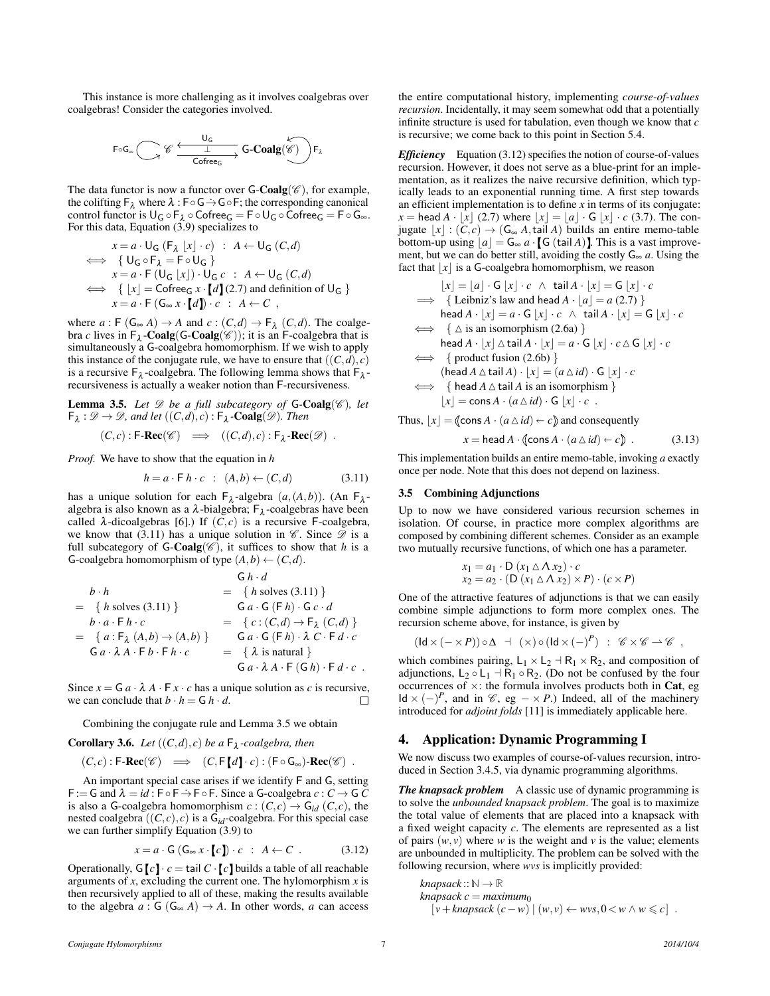This instance is more challenging as it involves coalgebras over coalgebras! Consider the categories involved.

$$
F \circ G_{\infty} \bigodot \mathscr{C} \xrightarrow{\bigcup_{G} \mathsf{C} \circ \mathsf{Teeg} \xrightarrow{\mathsf{L}} \mathsf{G}\text{-}\mathbf{Coalg}(\mathscr{C})\biggr) F_{\lambda}
$$

The data functor is now a functor over  $G\text{-}\mathrm{Coalg}(\mathscr{C})$ , for example, the colifting  $\mathsf{F}_\lambda$  where  $\lambda : \mathsf{F} \circ \mathsf{G} \rightarrow \mathsf{G} \circ \mathsf{F}$ ; the corresponding canonical control functor is  $U_G \circ F_\lambda \circ \text{Cofree}_G = F \circ U_G \circ \text{Cofree}_G = F \circ G_\infty$ . For this data, Equation [\(3.9\)](#page-4-5) specializes to

$$
x = a \cdot U_G (F_{\lambda} \mid x \mid \cdot c) : A \leftarrow U_G (C, d)
$$
  
\n
$$
\iff \{U_G \circ F_{\lambda} = F \circ U_G\}
$$
  
\n
$$
x = a \cdot F (U_G \mid x \mid) \cdot U_G c : A \leftarrow U_G (C, d)
$$
  
\n
$$
\iff \{ \mid x \mid = \text{Cofree}_G x \cdot [d] (2.7) \text{ and definition of } U_G \}
$$
  
\n
$$
x = a \cdot F (G_{\infty} x \cdot [d]) \cdot c : A \leftarrow C,
$$

where  $a : F(G_\infty A) \to A$  and  $c : (C,d) \to F_\lambda (C,d)$ . The coalgebra *c* lives in  $F_{\lambda}$ -**Coalg**(**G-Coalg**( $\mathscr{C}$ )); it is an F-coalgebra that is simultaneously a G-coalgebra homomorphism. If we wish to apply this instance of the conjugate rule, we have to ensure that  $((C, d), c)$ is a recursive  $F_{\lambda}$ -coalgebra. The following lemma shows that  $F_{\lambda}$ recursiveness is actually a weaker notion than F-recursiveness.

<span id="page-6-3"></span>**Lemma 3.5.** Let  $\mathscr D$  be a full subcategory of  $G$ -Coalg( $\mathscr C$ ), let  $\mathsf{F}_{\lambda}: \mathscr{D} \to \mathscr{D}$ , and let  $((C,d), c): \mathsf{F}_{\lambda}$ -**Coalg** $(\mathscr{D})$ *. Then* 

$$
(C,c): \mathsf{F}\text{-}\mathbf{Rec}(\mathscr{C}) \implies ((C,d),c): \mathsf{F}_{\lambda} \text{-}\mathbf{Rec}(\mathscr{D}) .
$$

*Proof.* We have to show that the equation in *h*

<span id="page-6-2"></span>
$$
h = a \cdot \mathsf{F} \, h \cdot c \quad : \quad (A, b) \leftarrow (C, d) \tag{3.11}
$$

has a unique solution for each  $F_{\lambda}$ -algebra  $(a, (A, b))$ . (An  $F_{\lambda}$ algebra is also known as a  $\lambda$ -bialgebra;  $F_{\lambda}$ -coalgebras have been called  $\lambda$ -dicoalgebras [\[6\]](#page-11-3).) If  $(C, c)$  is a recursive F-coalgebra, we know that [\(3.11\)](#page-6-2) has a unique solution in  $\mathscr{C}$ . Since  $\mathscr{D}$  is a full subcategory of  $G\text{-}\mathbf{Coalg}(\mathscr{C})$ , it suffices to show that *h* is a G-coalgebra homomorphism of type  $(A,b) \leftarrow (C,d)$ .

$$
G h \cdot d
$$
  
\n
$$
= \{h \text{ solves (3.11)}\}
$$
  
\n
$$
= \{h \text{ solves (3.11)}\}
$$
  
\n
$$
= \{a \cdot F h \cdot c
$$
  
\n
$$
= \{a : F_{\lambda} (A, b) \rightarrow (A, b)\}
$$
  
\n
$$
= G a \cdot \lambda A \cdot F b \cdot F h \cdot c
$$
  
\n
$$
= \{\lambda \text{ is natural}\}
$$
  
\n
$$
G a \cdot \lambda A \cdot F b \cdot F h \cdot c
$$
  
\n
$$
= \{\lambda \text{ is natural}\}
$$
  
\n
$$
G a \cdot \lambda A \cdot F (G h) \cdot F d \cdot c
$$

Since  $x = G a \cdot \lambda A \cdot F x \cdot c$  has a unique solution as *c* is recursive, we can conclude that  $b \cdot h = G h \cdot d$ . we can conclude that  $b \cdot h = G h \cdot d$ .

Combining the conjugate rule and Lemma [3.5](#page-6-3) we obtain

**Corollary 3.6.** Let 
$$
((C,d), c)
$$
 be a  $\mathsf{F}_{\lambda}$ -coalgebra, then  
 $(C,c): \mathsf{F}\text{-}\mathbf{Rec}(\mathscr{C}) \implies (C, \mathsf{F}[d] \cdot c): (\mathsf{F} \circ \mathsf{G}_{\infty})\text{-}\mathbf{Rec}(\mathscr{C})$ 

An important special case arises if we identify F and G, setting  $F := G$  and  $λ = id$ :  $F ∘ F ∩ F$ . Since a G-coalgebra  $c : C → G C$ is also a G-coalgebra homomorphism  $c:(C,c) \rightarrow G_{id}(C,c)$ , the nested coalgebra  $((C, c), c)$  is a  $G_{id}$ -coalgebra. For this special case we can further simplify Equation [\(3.9\)](#page-4-5) to

<span id="page-6-4"></span>
$$
x = a \cdot \mathsf{G}(\mathsf{G}_{\infty} x \cdot [c]) \cdot c \; : \; A \leftarrow C \; . \tag{3.12}
$$

Operationally,  $G[c] \cdot c = \text{tail } C \cdot [c]$  builds a table of all reachable arguments of *x*, excluding the current one. The hylomorphism *x* is then recursively applied to all of these, making the results available to the algebra  $a : G(G_\infty A) \to A$ . In other words, *a* can access the entire computational history, implementing *course-of-values recursion*. Incidentally, it may seem somewhat odd that a potentially infinite structure is used for tabulation, even though we know that *c* is recursive; we come back to this point in Section [5.4.](#page-8-0)

*Efficiency* Equation [\(3.12\)](#page-6-4) specifies the notion of course-of-values recursion. However, it does not serve as a blue-print for an implementation, as it realizes the naive recursive definition, which typically leads to an exponential running time. A first step towards an efficient implementation is to define *x* in terms of its conjugate: *x* = head *A* · |*x*| [\(2.7\)](#page-2-9) where  $|x| = |a| \cdot G |x| \cdot c$  [\(3.7\)](#page-4-7). The conjugate  $|x| : (C, c) \rightarrow (G_{\infty} A, \text{tail } A)$  builds an entire memo-table bottom-up using  $|a| = G_\infty a \cdot [G (\text{tail } A)]$ . This is a vast improvement, but we can do better still, avoiding the costly  $G_{\infty} a$ . Using the fact that  $|x|$  is a G-coalgebra homomorphism, we reason

$$
\lfloor x \rfloor = [a] \cdot G \lfloor x \rfloor \cdot c \quad \wedge \text{ tail } A \cdot \lfloor x \rfloor = G \lfloor x \rfloor \cdot c
$$
  
\n
$$
\implies \{ \text{Leibniz's law and head } A \cdot \lfloor a \rfloor = a (2.7) \}
$$
  
\nhead  $A \cdot \lfloor x \rfloor = a \cdot G \lfloor x \rfloor \cdot c \quad \wedge \text{ tail } A \cdot \lfloor x \rfloor = G \lfloor x \rfloor \cdot c$   
\n
$$
\iff \{ \triangle \text{ is an isomorphism } (2.6a) \}
$$
  
\nhead  $A \cdot \lfloor x \rfloor \triangle \text{ tail } A \cdot \lfloor x \rfloor = a \cdot G \lfloor x \rfloor \cdot c \triangle G \lfloor x \rfloor \cdot c$   
\n
$$
\iff \{ \text{product fusion } (2.6b) \}
$$
  
\n(head  $A \triangle \text{ tail } A \} \cdot \lfloor x \rfloor = (a \triangle id) \cdot G \lfloor x \rfloor \cdot c$   
\n
$$
\iff \{ \text{head } A \triangle \text{ tail } A \text{ is an isomorphism } \}
$$
  
\n
$$
\lfloor x \rfloor = \text{cons } A \cdot (a \triangle id) \cdot G \lfloor x \rfloor \cdot c .
$$

<span id="page-6-5"></span>Thus, 
$$
[x] = (\text{cons } A \cdot (a \triangle id) \leftarrow c)
$$
 and consequently  

$$
x = \text{head } A \cdot (\text{cons } A \cdot (a \triangle id) \leftarrow c) . \tag{3.13}
$$

This implementation builds an entire memo-table, invoking *a* exactly once per node. Note that this does not depend on laziness.

#### <span id="page-6-0"></span>3.5 Combining Adjunctions

Up to now we have considered various recursion schemes in isolation. Of course, in practice more complex algorithms are composed by combining different schemes. Consider as an example two mutually recursive functions, of which one has a parameter.

$$
x_1 = a_1 \cdot D (x_1 \triangle \triangle x_2) \cdot c
$$
  
\n
$$
x_2 = a_2 \cdot (D (x_1 \triangle \triangle x_2) \times P) \cdot (c \times P)
$$

One of the attractive features of adjunctions is that we can easily combine simple adjunctions to form more complex ones. The recursion scheme above, for instance, is given by

$$
(\mathsf{Id} \times (-\times P)) \circ \Delta \; \dashv \; (\times) \circ (\mathsf{Id} \times (-)^P) \; : \; \mathscr{C} \times \mathscr{C} \rightharpoonup \mathscr{C} \; ,
$$

which combines pairing,  $L_1 \times L_2 \to R_1 \times R_2$ , and composition of adjunctions,  $L_2 \circ L_1 \dashv R_1 \circ R_2$ . (Do not be confused by the four occurrences of  $\times$ : the formula involves products both in Cat, eg ld  $\times$  (−)<sup>*P*</sup>, and in  $\mathcal{C}$ , eg − × *P*.) Indeed, all of the machinery introduced for *adjoint folds* [\[11\]](#page-11-12) is immediately applicable here.

# <span id="page-6-1"></span>4. Application: Dynamic Programming I

We now discuss two examples of course-of-values recursion, introduced in Section [3.4.5,](#page-5-0) via dynamic programming algorithms.

*The knapsack problem* A classic use of dynamic programming is to solve the *unbounded knapsack problem*. The goal is to maximize the total value of elements that are placed into a knapsack with a fixed weight capacity *c*. The elements are represented as a list of pairs  $(w, v)$  where *w* is the weight and *v* is the value; elements are unbounded in multiplicity. The problem can be solved with the following recursion, where *wvs* is implicitly provided:

 $knapsack::\mathbb{N}\rightarrow\mathbb{R}$  $knapsack c = maximum_0$  $[v + knapsack(c - w) | (w, v) \leftarrow wvs, 0 \leftarrow w \wedge w \leq c].$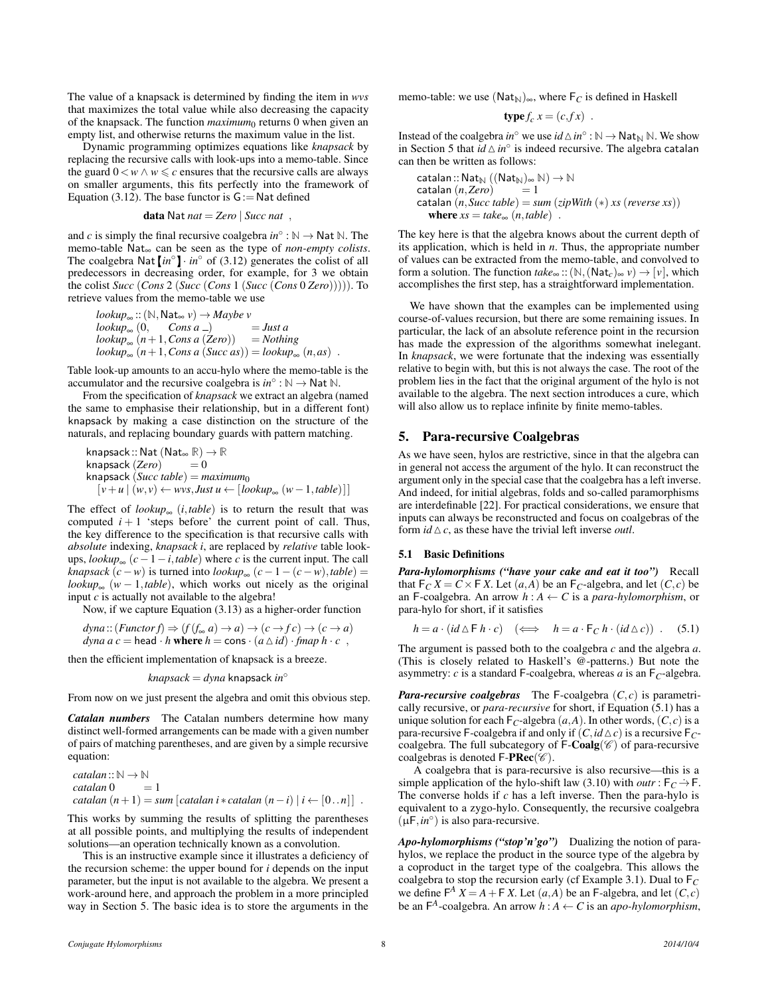The value of a knapsack is determined by finding the item in *wvs* that maximizes the total value while also decreasing the capacity of the knapsack. The function *maximum*<sup>0</sup> returns 0 when given an empty list, and otherwise returns the maximum value in the list.

Dynamic programming optimizes equations like *knapsack* by replacing the recursive calls with look-ups into a memo-table. Since the guard  $0 < w \wedge w \leq c$  ensures that the recursive calls are always on smaller arguments, this fits perfectly into the framework of Equation [\(3.12\)](#page-6-4). The base functor is  $G := Nat$  defined

data Nat *nat* = *Zero* | *Succ nat* ,

and *c* is simply the final recursive coalgebra  $in^{\circ}$ :  $\mathbb{N} \to \mathsf{Nat} \mathbb{N}$ . The memo-table Nat<sup>∞</sup> can be seen as the type of *non-empty colists*. The coalgebra Nat  $\left[ in^{\circ} \right] \cdot in^{\circ}$  of [\(3.12\)](#page-6-4) generates the colist of all predecessors in decreasing order, for example, for 3 we obtain the colist *Succ* (*Cons* 2 (*Succ* (*Cons* 1 (*Succ* (*Cons* 0 *Zero*))))). To retrieve values from the memo-table we use

$$
lookup_{\infty} :: (\mathbb{N}, \text{Nat}_{\infty} v) \to \text{Maybe } v
$$
  
\n
$$
lookup_{\infty} (0, \text{Cons } a_{-}) = Just a
$$
  
\n
$$
lookup_{\infty} (n+1, \text{Cons } a (\text{Zero})) = \text{Nothing}
$$
  
\n
$$
lookup_{\infty} (n+1, \text{Cons } a (\text{Succ } as)) = lookup_{\infty} (n, as)
$$
.

Table look-up amounts to an accu-hylo where the memo-table is the accumulator and the recursive coalgebra is  $in^{\circ}$ :  $\mathbb{N} \to \mathsf{Nat}$   $\mathbb{N}$ .

From the specification of *knapsack* we extract an algebra (named the same to emphasise their relationship, but in a different font) knapsack by making a case distinction on the structure of the naturals, and replacing boundary guards with pattern matching.

knapsack :: Nat  $(Nat_{\infty} \mathbb{R}) \to \mathbb{R}$ <br>knapsack  $(Zero) = 0$ knapsack (*Zero*) knapsack (*Succ table*) = *maximum*<sup>0</sup>  $[v+u | (w, v) \leftarrow wvs, Just u ← [lookup_{\infty} (w-1, table)]]$ 

The effect of  $lookup_{\infty}$  (*i*, *table*) is to return the result that was computed  $i + 1$  'steps before' the current point of call. Thus, the key difference to the specification is that recursive calls with *absolute* indexing, *knapsack i*, are replaced by *relative* table lookups,  $lookup_{\infty}$  (*c* − 1 − *i*, *table*) where *c* is the current input. The call *knapsack*  $(c - w)$  is turned into  $lookup_{\infty}$   $(c - 1 - (c - w), table) =$ *lookup*<sub>∞</sub> ( $w - 1$ *, table*), which works out nicely as the original input *c* is actually not available to the algebra!

Now, if we capture Equation [\(3.13\)](#page-6-5) as a higher-order function

$$
dyna :: (Function f) \Rightarrow (f(f_{\infty} a) \rightarrow a) \rightarrow (c \rightarrow fc) \rightarrow (c \rightarrow a)
$$
  

$$
dyna a c = head \cdot h \text{ where } h = \text{cons} \cdot (a \triangle id) \cdot \text{fmap } h \cdot c ,
$$

then the efficient implementation of knapsack is a breeze.

*knapsack* = *dyna* knapsack *in*◦

From now on we just present the algebra and omit this obvious step.

*Catalan numbers* The Catalan numbers determine how many distinct well-formed arrangements can be made with a given number of pairs of matching parentheses, and are given by a simple recursive equation:

 $catalan::\mathbb{N} \rightarrow \mathbb{N}$  $\textit{catalan } 0 = 1$  $\text{catalan } (n+1) = \text{sum } [\text{catalan } i * \text{catalan } (n-i) | i \leftarrow [0..n] ]$ .

This works by summing the results of splitting the parentheses at all possible points, and multiplying the results of independent solutions—an operation technically known as a convolution.

This is an instructive example since it illustrates a deficiency of the recursion scheme: the upper bound for *i* depends on the input parameter, but the input is not available to the algebra. We present a work-around here, and approach the problem in a more principled way in Section [5.](#page-7-0) The basic idea is to store the arguments in the memo-table: we use (Nat<sub>N</sub>)∞, where  $F_C$  is defined in Haskell

$$
type f_c x = (c, fx) .
$$

Instead of the coalgebra  $in^{\circ}$  we use  $id \triangle in^{\circ} : \mathbb{N} \to \mathsf{Nat}_{\mathbb{N}} \mathbb{N}$ . We show in Section [5](#page-7-0) that  $id \triangle in^{\circ}$  is indeed recursive. The algebra catalan can then be written as follows:

 $\text{catalan} :: \text{Nat}_{\mathbb{N}} ((\text{Nat}_{\mathbb{N}})_{\infty} \mathbb{N}) \to \mathbb{N}$  $\text{catalan}(n, \text{Zero}) = 1$ catalan  $(n, \text{Succ table}) = \text{sum}(\text{zipWith } (*) \text{ xs } (\text{reverse xs}))$ where  $xs = take_{\infty} (n, table)$ .

The key here is that the algebra knows about the current depth of its application, which is held in *n*. Thus, the appropriate number of values can be extracted from the memo-table, and convolved to form a solution. The function  $take_{\infty}$  :: ( $\mathbb{N}$ , (Nat<sub>*c*</sub>)<sub>∞</sub> *v*)  $\rightarrow$  [*v*], which accomplishes the first step, has a straightforward implementation.

We have shown that the examples can be implemented using course-of-values recursion, but there are some remaining issues. In particular, the lack of an absolute reference point in the recursion has made the expression of the algorithms somewhat inelegant. In *knapsack*, we were fortunate that the indexing was essentially relative to begin with, but this is not always the case. The root of the problem lies in the fact that the original argument of the hylo is not available to the algebra. The next section introduces a cure, which will also allow us to replace infinite by finite memo-tables.

# <span id="page-7-0"></span>5. Para-recursive Coalgebras

As we have seen, hylos are restrictive, since in that the algebra can in general not access the argument of the hylo. It can reconstruct the argument only in the special case that the coalgebra has a left inverse. And indeed, for initial algebras, folds and so-called paramorphisms are interdefinable [\[22\]](#page-11-14). For practical considerations, we ensure that inputs can always be reconstructed and focus on coalgebras of the form  $id \triangle c$ , as these have the trivial left inverse *outl*.

# 5.1 Basic Definitions

*Para-hylomorphisms ("have your cake and eat it too")* Recall that  $F_C X = C \times F X$ . Let  $(a, A)$  be an  $F_C$ -algebra, and let  $(C, c)$  be an F-coalgebra. An arrow  $h : A \leftarrow C$  is a *para-hylomorphism*, or para-hylo for short, if it satisfies

<span id="page-7-1"></span>
$$
h = a \cdot (id \triangle \mathsf{F} \, h \cdot c) \quad (\Longleftrightarrow \quad h = a \cdot \mathsf{F}_C \, h \cdot (id \triangle c)) \quad . \tag{5.1}
$$

The argument is passed both to the coalgebra *c* and the algebra *a*. (This is closely related to Haskell's @-patterns.) But note the asymmetry: *c* is a standard F-coalgebra, whereas *a* is an  $F_C$ -algebra.

*Para-recursive coalgebras* The F-coalgebra  $(C, c)$  is parametrically recursive, or *para-recursive* for short, if Equation [\(5.1\)](#page-7-1) has a unique solution for each  $F_C$ -algebra  $(a, A)$ . In other words,  $(C, c)$  is a para-recursive F-coalgebra if and only if  $(C, id \triangle c)$  is a recursive F<sub>C</sub>coalgebra. The full subcategory of  $F\text{-}\text{Coalg}(\mathscr{C})$  of para-recursive coalgebras is denoted  $\mathsf{F-PREc}(\mathscr{C})$ .

A coalgebra that is para-recursive is also recursive—this is a simple application of the hylo-shift law [\(3.10\)](#page-5-1) with *outr* :  $F_C \rightarrow F$ . The converse holds if *c* has a left inverse. Then the para-hylo is equivalent to a zygo-hylo. Consequently, the recursive coalgebra  $(\mu \mathsf{F}, in^{\circ})$  is also para-recursive.

*Apo-hylomorphisms ("stop'n'go")* Dualizing the notion of parahylos, we replace the product in the source type of the algebra by a coproduct in the target type of the coalgebra. This allows the coalgebra to stop the recursion early (cf Example [3.1\)](#page-3-4). Dual to F*<sup>C</sup>* we define  $F^A X = A + F X$ . Let  $(a, A)$  be an F-algebra, and let  $(C, c)$ be an  $F^A$ -coalgebra. An arrow  $h : A \leftarrow C$  is an *apo-hylomorphism*,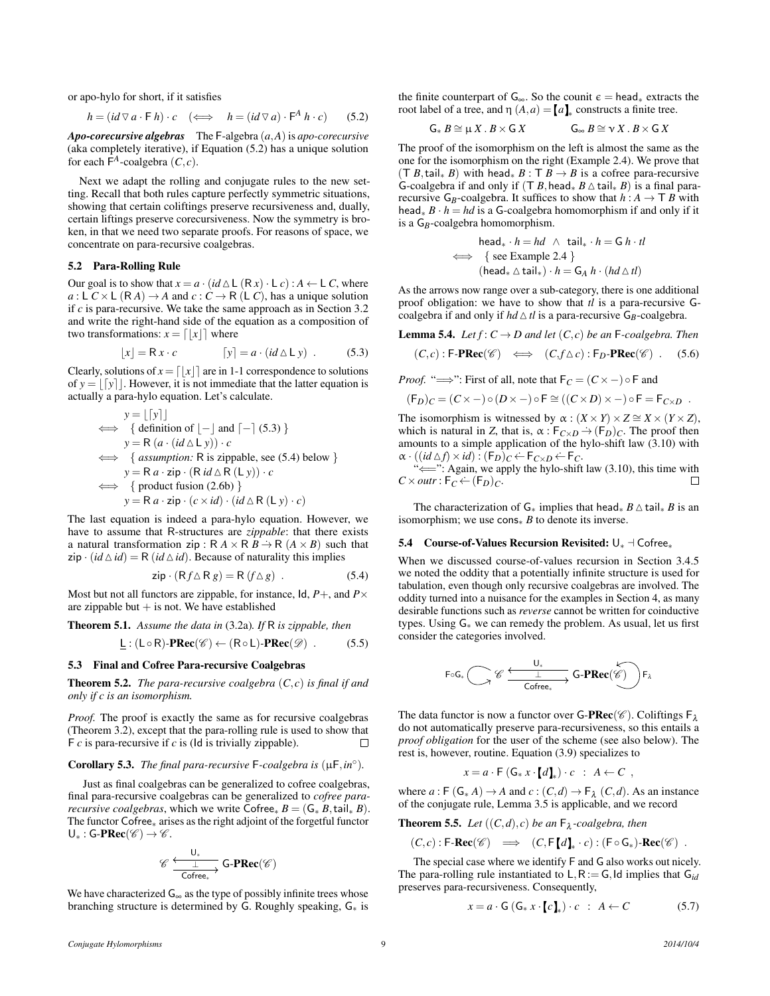or apo-hylo for short, if it satisfies

<span id="page-8-1"></span>
$$
h = (id \triangledown a \cdot \mathsf{F} \ h) \cdot c \quad (\iff \quad h = (id \triangledown a) \cdot \mathsf{F}^A \ h \cdot c) \tag{5.2}
$$

*Apo-corecursive algebras* The F-algebra (*a*,*A*)is *apo-corecursive* (aka completely iterative), if Equation [\(5.2\)](#page-8-1) has a unique solution for each  $\overline{F}^A$ -coalgebra  $(C, c)$ .

Next we adapt the rolling and conjugate rules to the new setting. Recall that both rules capture perfectly symmetric situations, showing that certain coliftings preserve recursiveness and, dually, certain liftings preserve corecursiveness. Now the symmetry is broken, in that we need two separate proofs. For reasons of space, we concentrate on para-recursive coalgebras.

### 5.2 Para-Rolling Rule

Our goal is to show that  $x = a \cdot (id \triangle L (Rx) \cdot L c) : A \leftarrow L C$ , where  $a: L C \times L (RA) \rightarrow A$  and  $c: C \rightarrow R (LC)$ , has a unique solution if *c* is para-recursive. We take the same approach as in Section [3.2](#page-3-5) and write the right-hand side of the equation as a composition of two transformations:  $x = \lfloor x \rfloor$  where

<span id="page-8-2"></span>
$$
[x] = \mathsf{R}x \cdot c \qquad [y] = a \cdot (id \triangle \mathsf{L}y) \tag{5.3}
$$

Clearly, solutions of  $x = \lfloor x \rfloor$  are in 1-1 correspondence to solutions of  $y = |y|$ . However, it is not immediate that the latter equation is actually a para-hylo equation. Let's calculate.

$$
y = \lfloor [y] \rfloor
$$
  
\n
$$
\iff \{ \text{definition of } [-] \text{ and } [-] \text{ (5.3)} \}
$$
  
\n
$$
y = R (a \cdot (id \triangle L y)) \cdot c
$$
  
\n
$$
\iff \{ \text{assumption: R is zippable, see (5.4) below } \}
$$
  
\n
$$
y = R a \cdot zip \cdot (R id \triangle R (L y)) \cdot c
$$
  
\n
$$
\iff \{ \text{product fusion (2.6b)} \}
$$
  
\n
$$
y = R a \cdot zip \cdot (c \times id) \cdot (id \triangle R (L y) \cdot c)
$$

The last equation is indeed a para-hylo equation. However, we have to assume that R-structures are *zippable*: that there exists a natural transformation zip :  $R A \times R B \rightarrow R (A \times B)$  such that  $\overline{zip} \cdot (id \triangle id) = R (id \triangle id)$ . Because of naturality this implies

<span id="page-8-3"></span>
$$
zip \cdot (Rf \triangle R g) = R(f \triangle g) . \tag{5.4}
$$

Most but not all functors are zippable, for instance,  $\text{Id}, P+$ , and  $P \times$ are zippable but  $+$  is not. We have established

Theorem 5.1. *Assume the data in* [\(3.2a\)](#page-3-1)*. If* R *is zippable, then*

$$
\underline{\mathsf{L}} : (\mathsf{L} \circ \mathsf{R})\text{-}\mathbf{PRec}(\mathscr{C}) \leftarrow (\mathsf{R} \circ \mathsf{L})\text{-}\mathbf{PRec}(\mathscr{D}) \ . \tag{5.5}
$$

### 5.3 Final and Cofree Para-recursive Coalgebras

**Theorem 5.2.** *The para-recursive coalgebra*  $(C, c)$  *is final if and only if c is an isomorphism.*

*Proof.* The proof is exactly the same as for recursive coalgebras (Theorem [3.2\)](#page-3-6), except that the para-rolling rule is used to show that F *c* is para-recursive if *c* is (Id is trivially zippable). П

# Corollary 5.3. *The final para-recursive*  $F$ -coalgebra is  $(\mu F, in^{\circ})$ .

Just as final coalgebras can be generalized to cofree coalgebras, final para-recursive coalgebras can be generalized to *cofree pararecursive coalgebras*, which we write Cofree<sub>\*</sub>  $B = (G, B, \text{tail}, B)$ . The functor Cofree∗ arises as the right adjoint of the forgetful functor  $U_*:$  G-PRec( $\mathscr{C} \rightarrow \mathscr{C}$ .

$$
\mathscr{C}\xrightarrow[\text{Cofree_*}]{\underbrace{\sqcup_*}}\text{G-PRec}(\mathscr{C})
$$

We have characterized  $G_{\infty}$  as the type of possibly infinite trees whose branching structure is determined by G. Roughly speaking, G∗ is the finite counterpart of  $G_{\infty}$ . So the counit  $\epsilon = \text{head}_{*}$  extracts the root label of a tree, and  $\eta(A,a) = [a]_*$  constructs a finite tree.

$$
G_* B \cong \mu X \cdot B \times G X \qquad \qquad G_\infty B \cong \nu X \cdot B \times G X
$$

The proof of the isomorphism on the left is almost the same as the one for the isomorphism on the right (Example [2.4\)](#page-2-10). We prove that  $(T B, \text{tail}_* B)$  with head<sub>\*</sub>  $B : T B \rightarrow B$  is a cofree para-recursive G-coalgebra if and only if  $(T B, \text{head}_* B \triangle \text{tail}_* B)$  is a final pararecursive  $G_B$ -coalgebra. It suffices to show that  $h : A \to T B$  with head∗ *B* · *h* = *hd* is a G-coalgebra homomorphism if and only if it is a G<sub>B</sub>-coalgebra homomorphism.

$$
\begin{aligned}\n\text{head}_{*} \cdot h &= hd \ \land \ \text{tail}_{*} \cdot h = G \ h \cdot tl \\
&\iff \ \{ \text{see Example 2.4 } \} \\
(\text{head}_{*} \triangle \text{tail}_{*}) \cdot h &= G_{A} \ h \cdot (hd \triangle tl)\n\end{aligned}
$$

As the arrows now range over a sub-category, there is one additional proof obligation: we have to show that *tl* is a para-recursive Gcoalgebra if and only if  $hd \triangle tl$  is a para-recursive  $G_B$ -coalgebra.

<span id="page-8-4"></span>**Lemma 5.4.** *Let*  $f: C \to D$  *and let*  $(C, c)$  *be an* F-coalgebra. Then

$$
(C,c): \mathsf{F}\text{-}\mathbf{PRec}(\mathscr{C}) \iff (C, f \triangle c): \mathsf{F}_D\text{-}\mathbf{PRec}(\mathscr{C}) \ . \tag{5.6}
$$

*Proof.* " $\Longrightarrow$ ": First of all, note that  $F_C = (C \times -) \circ F$  and

$$
(\mathsf{F}_D)_C = (C \times -) \circ (D \times -) \circ \mathsf{F} \cong ((C \times D) \times -) \circ \mathsf{F} = \mathsf{F}_{C \times D}.
$$

The isomorphism is witnessed by  $\alpha$  :  $(X \times Y) \times Z \cong X \times (Y \times Z)$ , which is natural in *Z*, that is,  $\alpha$ :  $F_{C\times D}$   $\rightarrow$   $(F_D)_C$ . The proof then amounts to a simple application of the hylo-shift law  $(3.10)$  with  $\alpha \cdot ((id \triangle f) \times id) : (F_D)_C \leftarrow F_{C \times D} \leftarrow F_C.$ 

"
in Again, we apply the hylo-shift law [\(3.10\)](#page-5-1), this time with  $C \times \textit{outr}$ :  $\mathsf{F}_C \leftarrow (\mathsf{F}_D)_C$ . П

The characterization of  $G_*$  implies that head<sub>∗</sub> *B*  $\triangle$  tail<sub>\*</sub> *B* is an isomorphism; we use cons∗ *B* to denote its inverse.

#### <span id="page-8-0"></span>5.4 Course-of-Values Recursion Revisited:  $\bigcup_{*}$  ⊣ Cofree<sub>\*</sub>

When we discussed course-of-values recursion in Section [3.4.5](#page-5-0) we noted the oddity that a potentially infinite structure is used for tabulation, even though only recursive coalgebras are involved. The oddity turned into a nuisance for the examples in Section [4,](#page-6-1) as many desirable functions such as *reverse* cannot be written for coinductive types. Using G∗ we can remedy the problem. As usual, let us first consider the categories involved.

$$
F \circ G_* \overset{\displaystyle\smile}{\bigcup_{\mathsf{Cofree_*}}} \mathscr{C} \xrightarrow{\bigcup_{\mathsf{L}}}\mathsf{G-PRec}(\overset{\displaystyle\downarrow}{\mathscr{C}})\Big)F_\lambda
$$

The data functor is now a functor over **G-PRec**( $\mathscr{C}$ ). Coliftings  $F_{\lambda}$ do not automatically preserve para-recursiveness, so this entails a *proof obligation* for the user of the scheme (see also below). The rest is, however, routine. Equation [\(3.9\)](#page-4-5) specializes to

 $x = a \cdot F(G_* x \cdot d)_* \cdot c : A \leftarrow C$ 

where  $a: \mathsf{F}(\mathsf{G}_*A) \to A$  and  $c: (C,d) \to \mathsf{F}_\lambda(C,d)$ . As an instance of the conjugate rule, Lemma [3.5](#page-6-3) is applicable, and we record

**Theorem 5.5.** Let  $((C, d), c)$  be an  $\mathsf{F}_{\lambda}$ -coalgebra, then

$$
(C,c): \mathsf{F}\text{-}\mathbf{Rec}(\mathscr{C}) \implies (C, \mathsf{F}[d]_{*} \cdot c): (\mathsf{F} \circ \mathsf{G}_{*})\text{-}\mathbf{Rec}(\mathscr{C}) .
$$

The special case where we identify F and G also works out nicely. The para-rolling rule instantiated to  $L, R := G$ , Id implies that  $G_{id}$ preserves para-recursiveness. Consequently,

<span id="page-8-5"></span>
$$
x = a \cdot \mathsf{G}(\mathsf{G}_{*} x \cdot [c]_{*}) \cdot c \quad : \quad A \leftarrow C \tag{5.7}
$$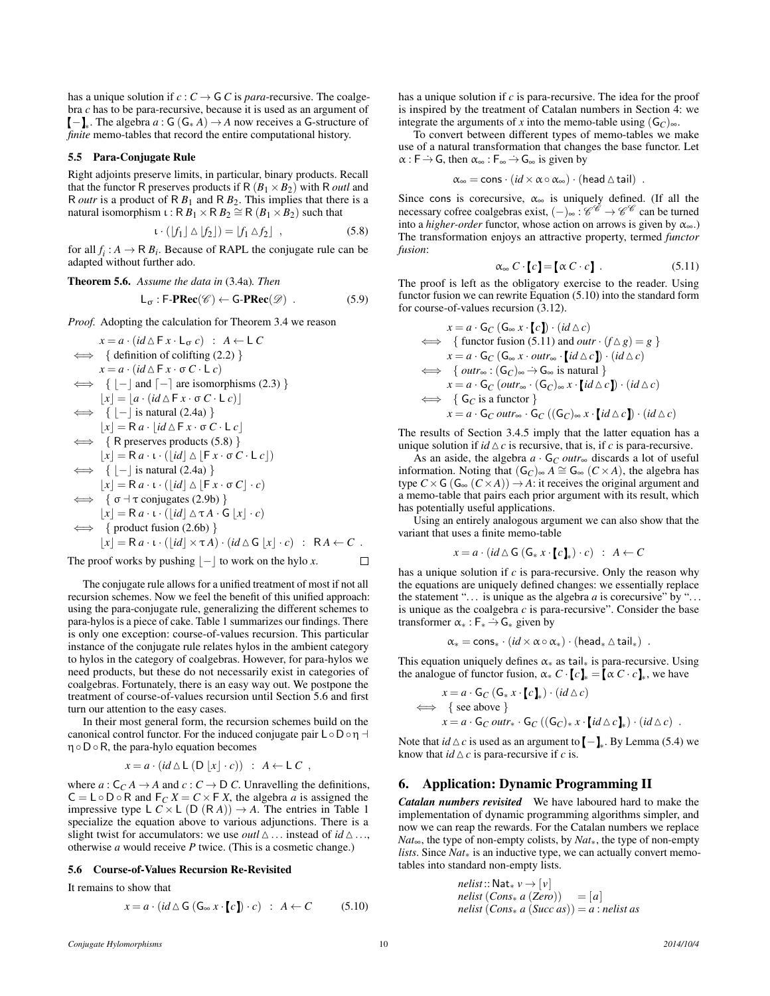has a unique solution if  $c: C \to G$  *C* is *para*-recursive. The coalgebra *c* has to be para-recursive, because it is used as an argument of  $-\mathbf{I}_*$ . The algebra *a* : G (G<sub>\*</sub> *A*)  $\rightarrow$  *A* now receives a G-structure of *finite* memo-tables that record the entire computational history.

### 5.5 Para-Conjugate Rule

Right adjoints preserve limits, in particular, binary products. Recall that the functor R preserves products if  $R (B_1 \times B_2)$  with R *outl* and R *outr* is a product of R  $B_1$  and R  $B_2$ . This implies that there is a natural isomorphism  $\iota : \mathsf{R} \overset{B}{B}_1 \times \mathsf{R} \overset{B}{B}_2 \cong \mathsf{R} \overset{\iota}{(B_1 \times B_2)}$  such that

<span id="page-9-2"></span>
$$
\iota \cdot (|f_1| \triangle |f_2|) = |f_1 \triangle f_2| \quad , \tag{5.8}
$$

for all  $f_i$ :  $A \to \mathsf{R} B_i$ . Because of RAPL the conjugate rule can be adapted without further ado.

**Theorem 5.6.** Assume the data in (3.4a). Then  

$$
L_{\sigma}: \mathsf{F}\text{-}\mathbf{PRec}(\mathscr{C}) \leftarrow \mathsf{G}\text{-}\mathbf{PRec}(\mathscr{D}) . \tag{5.9}
$$

*Proof.* Adopting the calculation for Theorem [3.4](#page-4-8) we reason

$$
x = a \cdot (id \triangle F x \cdot L_{\sigma} c) : A \leftarrow L C
$$
  
\n
$$
\iff \{ \text{definition of colifting } (2.2) \}
$$
  
\n
$$
x = a \cdot (id \triangle F x \cdot \sigma C \cdot L c)
$$
  
\n
$$
\iff \{ [- ] \text{ and } [- ] \text{ are isomorphisms } (2.3) \}
$$
  
\n
$$
[x] = [a \cdot (id \triangle F x \cdot \sigma C \cdot L c)]
$$
  
\n
$$
\iff \{ [- ] \text{ is natural } (2.4a) \}
$$
  
\n
$$
[x] = R a \cdot [id \triangle F x \cdot \sigma C \cdot L c]
$$
  
\n
$$
\iff \{ \text{R preserves products } (5.8) \}
$$
  
\n
$$
[x] = R a \cdot t \cdot ([id] \triangle [F x \cdot \sigma C \cdot L c])
$$
  
\n
$$
\iff \{ [- ] \text{ is natural } (2.4a) \}
$$
  
\n
$$
[x] = R a \cdot t \cdot ([id] \triangle [F x \cdot \sigma C] \cdot c)
$$
  
\n
$$
\iff \{ \sigma \dashv \text{ conjugates } (2.9b) \}
$$
  
\n
$$
[x] = R a \cdot t \cdot ([id] \triangle \tau A \cdot G [x] \cdot c)
$$
  
\n
$$
\iff \{ \text{product fusion } (2.6b) \}
$$
  
\n
$$
[x] = R a \cdot t \cdot ([id] \times \tau A) \cdot (id \triangle G [x] \cdot c) : RA \leftarrow C .
$$

The proof works by pushing  $|-|$  to work on the hylo *x*.

The conjugate rule allows for a unified treatment of most if not all recursion schemes. Now we feel the benefit of this unified approach: using the para-conjugate rule, generalizing the different schemes to para-hylos is a piece of cake. Table [1](#page-10-1) summarizes our findings. There is only one exception: course-of-values recursion. This particular instance of the conjugate rule relates hylos in the ambient category to hylos in the category of coalgebras. However, for para-hylos we need products, but these do not necessarily exist in categories of coalgebras. Fortunately, there is an easy way out. We postpone the treatment of course-of-values recursion until Section [5.6](#page-9-0) and first turn our attention to the easy cases.

In their most general form, the recursion schemes build on the canonical control functor. For the induced conjugate pair  $L \circ D \circ \eta$  η◦D◦R, the para-hylo equation becomes

$$
x = a \cdot (id \triangle L (D |x| \cdot c)) : A \leftarrow L C ,
$$

where  $a: C_C A \rightarrow A$  and  $c: C \rightarrow D C$ . Unravelling the definitions,  $C = L \circ D \circ R$  and  $F_C X = C \times F X$ , the algebra *a* is assigned the impressive type L  $C \times L$  (D  $(R A)$ )  $\rightarrow A$ . The entries in Table [1](#page-10-1) specialize the equation above to various adjunctions. There is a slight twist for accumulators: we use *outl*  $\triangle$  ... instead of *id*  $\triangle$  ..., otherwise *a* would receive *P* twice. (This is a cosmetic change.)

# <span id="page-9-0"></span>5.6 Course-of-Values Recursion Re-Revisited

It remains to show that

<span id="page-9-3"></span>
$$
x = a \cdot (id \triangle \mathsf{G}(\mathsf{G}_{\infty} x \cdot [c]) \cdot c) : A \leftarrow C \quad (5.10)
$$

has a unique solution if *c* is para-recursive. The idea for the proof is inspired by the treatment of Catalan numbers in Section [4:](#page-6-1) we integrate the arguments of *x* into the memo-table using  $(G_C)_{\infty}$ .

To convert between different types of memo-tables we make use of a natural transformation that changes the base functor. Let  $\alpha$ : F  $\rightarrow$  G, then  $\alpha_{\infty}$ : F $_{\infty}$   $\rightarrow$  G $_{\infty}$  is given by

$$
\alpha_\infty = \text{cons} \cdot (id \times \alpha \circ \alpha_\infty) \cdot (\text{head} \, \triangle \, \text{tail}) \enspace .
$$

Since cons is corecursive,  $\alpha_{\infty}$  is uniquely defined. (If all the necessary cofree coalgebras exist,  $(-)_{\infty} : \mathscr{C}^{\mathscr{C}} \to \mathscr{C}^{\mathscr{C}}$  can be turned into a *higher-order* functor, whose action on arrows is given by  $\alpha_{\infty}$ .) The transformation enjoys an attractive property, termed *functor fusion*:

<span id="page-9-4"></span>
$$
\alpha_{\infty} C \cdot [c] = [\alpha C \cdot c]. \qquad (5.11)
$$

The proof is left as the obligatory exercise to the reader. Using functor fusion we can rewrite Equation [\(5.10\)](#page-9-3) into the standard form for course-of-values recursion [\(3.12\)](#page-6-4).

$$
x = a \cdot G_C (G_{\infty} x \cdot [c]) \cdot (id \triangle c)
$$
  
\n
$$
\iff \{ \text{functor fusion } (5.11) \text{ and } outr \cdot (f \triangle g) = g \}
$$
  
\n
$$
x = a \cdot G_C (G_{\infty} x \cdot outr_{\infty} \cdot [id \triangle c]) \cdot (id \triangle c)
$$
  
\n
$$
\iff \{ outr_{\infty} : (G_C)_{\infty} \rightarrow G_{\infty} \text{ is natural } \}
$$
  
\n
$$
x = a \cdot G_C (outr_{\infty} \cdot (G_C)_{\infty} x \cdot [id \triangle c]) \cdot (id \triangle c)
$$
  
\n
$$
\iff \{ G_C \text{ is a functor } \}
$$
  
\n
$$
x = a \cdot G_C outr_{\infty} \cdot G_C ((G_C)_{\infty} x \cdot [id \triangle c]) \cdot (id \triangle c)
$$

The results of Section [3.4.5](#page-5-0) imply that the latter equation has a unique solution if  $id \triangle c$  is recursive, that is, if *c* is para-recursive.

As an aside, the algebra  $a \cdot G_C$  *outr*<sub>∞</sub> discards a lot of useful information. Noting that  $(G_C)_{\infty} A \cong G_{\infty} (C \times A)$ , the algebra has type  $C \times G$  ( $G_{\infty}$  ( $C \times A$ ))  $\rightarrow A$ : it receives the original argument and a memo-table that pairs each prior argument with its result, which has potentially useful applications.

Using an entirely analogous argument we can also show that the variant that uses a finite memo-table

$$
x = a \cdot (id \bigtriangleup G (G_* x \cdot [c]_*) \cdot c) : A \leftarrow C
$$

has a unique solution if *c* is para-recursive. Only the reason why the equations are uniquely defined changes: we essentially replace the statement "... is unique as the algebra *a* is corecursive" by "... is unique as the coalgebra *c* is para-recursive". Consider the base transformer  $\alpha_* : F_* \rightarrow G_*$  given by

 $\alpha_* = \text{cons}_* \cdot (id \times \alpha \circ \alpha_*) \cdot (\text{head}_* \triangle \text{tail}_*)$ .

This equation uniquely defines  $\alpha_*$  as tail<sub>\*</sub> is para-recursive. Using the analogue of functor fusion,  $\alpha_* C \cdot [c]_* = [\alpha C \cdot c]_*$ , we have

$$
x = a \cdot G_C (G_* x \cdot [c]_*) \cdot (id \triangle c)
$$
  
\n
$$
\iff \{ \text{see above } \}
$$
  
\n
$$
x = a \cdot G_C outr_* \cdot G_C ((G_C)_* x \cdot [id \triangle c]_*) \cdot (id \triangle c) .
$$

Note that *id*  $\triangle$  *c* is used as an argument to  $\llbracket - \rrbracket_*$ . By Lemma [\(5.4\)](#page-8-4) we know that  $id \triangle c$  is para-recursive if *c* is.

# <span id="page-9-1"></span>6. Application: Dynamic Programming II

*Catalan numbers revisited* We have laboured hard to make the implementation of dynamic programming algorithms simpler, and now we can reap the rewards. For the Catalan numbers we replace *Nat*∞, the type of non-empty colists, by *Nat*∗, the type of non-empty *lists*. Since *Nat*<sub>∗</sub> is an inductive type, we can actually convert memotables into standard non-empty lists.

> $nelist::\mathsf{Nat}_* v \rightarrow [v]$ *nelist*  $(Cons_* a (Zero)) = [a]$ *nelist* (*Cons*∗ *a* (*Succ as*)) = *a* : *nelist as*

 $\Box$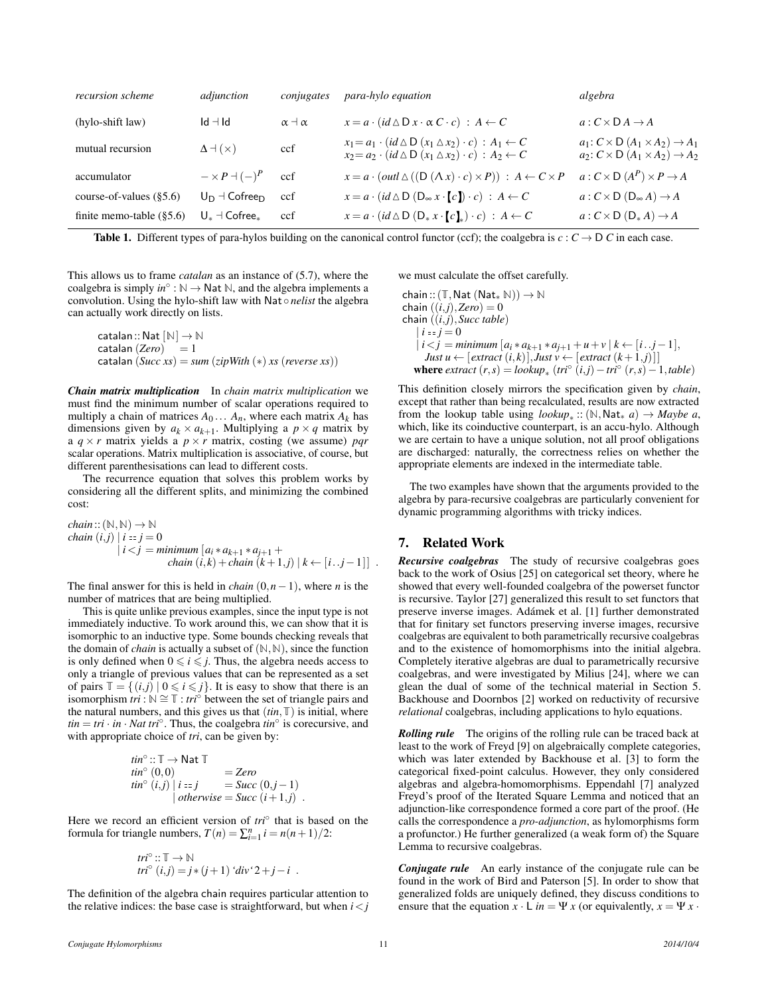| recursion scheme             | adjunction                                   | conjugates          | para-hylo equation                                                                                                                                                     | algebra                                                                                                      |
|------------------------------|----------------------------------------------|---------------------|------------------------------------------------------------------------------------------------------------------------------------------------------------------------|--------------------------------------------------------------------------------------------------------------|
| (hylo-shift law)             | $Id - Id$                                    | $\alpha$ + $\alpha$ | $x = a \cdot (id \triangle D \times \alpha C \cdot c)$ : $A \leftarrow C$                                                                                              | $a: C \times D A \rightarrow A$                                                                              |
| mutual recursion             | $\Delta$ + ( $\times$ )                      | ccf                 | $x_1 = a_1 \cdot (id \triangle D (x_1 \triangle x_2) \cdot c) : A_1 \leftarrow C$<br>$x_2 = a_2 \cdot (id \triangle D (x_1 \triangle x_2) \cdot c) : A_2 \leftarrow C$ | $a_1: C \times D$ $(A_1 \times A_2) \rightarrow A_1$<br>$a_2: C \times D$ $(A_1 \times A_2) \rightarrow A_2$ |
| accumulator                  | $-\times P$ $ (-)$ <sup><math>P</math></sup> | ccf                 | $x = a \cdot (outl \triangle ((D (\triangle x) \cdot c) \times P)) : A \leftarrow C \times P$                                                                          | $a: C \times D(A^P) \times P \rightarrow A$                                                                  |
| course-of-values $(\S 5.6)$  | $U_D \dashv \mathsf{Cofree}_D$               | ccf                 | $x = a \cdot (id \triangle D (D_{\infty} x \cdot [c]) \cdot c) : A \leftarrow C$                                                                                       | $a: C \times D(D_{\infty} A) \rightarrow A$                                                                  |
| finite memo-table $(\S 5.6)$ | $U_*$ $\dashv$ Cofree $_*$                   | ccf                 | $x = a \cdot (id \triangle D(D_* x \cdot [c]_*) \cdot c) : A \leftarrow C$                                                                                             | $a: C \times D(D_*A) \rightarrow A$                                                                          |

<span id="page-10-1"></span>**Table 1.** Different types of para-hylos building on the canonical control functor (ccf); the coalgebra is  $c : C \to D C$  in each case.

This allows us to frame *catalan* as an instance of [\(5.7\)](#page-8-5), where the coalgebra is simply  $in^{\circ}$ :  $\mathbb{N} \to \mathsf{Nat}$   $\mathbb{N}$ , and the algebra implements a convolution. Using the hylo-shift law with Nat ◦ *nelist* the algebra can actually work directly on lists.

 $\text{catalan} :: \text{Nat} \, [\mathbb{N}] \rightarrow \mathbb{N}$ catalan  $(Zero) = 1$ catalan  $(Succ xs) = sum (zipWith (*) xs (reverse xs))$ 

*Chain matrix multiplication* In *chain matrix multiplication* we must find the minimum number of scalar operations required to multiply a chain of matrices  $A_0 \ldots A_n$ , where each matrix  $A_k$  has dimensions given by  $a_k \times a_{k+1}$ . Multiplying a  $p \times q$  matrix by a  $q \times r$  matrix yields a  $p \times r$  matrix, costing (we assume) *pqr* scalar operations. Matrix multiplication is associative, of course, but different parenthesisations can lead to different costs.

The recurrence equation that solves this problem works by considering all the different splits, and minimizing the combined cost:

chain :: 
$$
(\mathbb{N}, \mathbb{N}) \to \mathbb{N}
$$
  
\nchain (i,j) | i == j = 0  
\n $i < j$  = minimum  $[a_i * a_{k+1} * a_{j+1} + ...$   
\nchain (i,k) + chain (k+1,j) | k \leftarrow [i..j-1]|.

The final answer for this is held in *chain*  $(0, n-1)$ , where *n* is the number of matrices that are being multiplied.

This is quite unlike previous examples, since the input type is not immediately inductive. To work around this, we can show that it is isomorphic to an inductive type. Some bounds checking reveals that the domain of *chain* is actually a subset of  $(N, N)$ , since the function is only defined when  $0 \le i \le j$ . Thus, the algebra needs access to only a triangle of previous values that can be represented as a set of pairs  $\mathbb{T} = \{(i, j) | 0 \leq i \leq j\}$ . It is easy to show that there is an isomorphism *tri* :  $\mathbb{N} \cong \mathbb{T}$  : *tri*<sup>○</sup> between the set of triangle pairs and the natural numbers, and this gives us that  $(tin, \mathbb{T})$  is initial, where  $t$ *tin* = *tri* · *in* · *Nat tri*<sup>°</sup>. Thus, the coalgebra  $\hat{t}$ *in*<sup>°</sup> is corecursive, and with appropriate choice of *tri*, can be given by:

$$
tin^{\circ} :: \mathbb{T} \to \text{Nat } \mathbb{T}
$$
  
\n
$$
tin^{\circ} (0,0) = Zero
$$
  
\n
$$
tin^{\circ} (i,j) | i := j = Succ (0,j-1)
$$
  
\n
$$
otherwise = Succ (i+1,j) .
$$

Here we record an efficient version of *tri*<sup>○</sup> that is based on the formula for triangle numbers,  $T(n) = \sum_{i=1}^{n} i = n(n+1)/2$ :

$$
tri^{\circ} :: \mathbb{T} \to \mathbb{N}
$$
  

$$
tri^{\circ} (i,j) = j * (j+1) 'div' 2 + j - i .
$$

The definition of the algebra chain requires particular attention to the relative indices: the base case is straightforward, but when  $i < j$  we must calculate the offset carefully.

 $chain::(T, Nat(Nat_* N)) \rightarrow N$ chain  $((i,j),\text{Zero})=0$ chain ((*i*,*j*),*Succ table*)  $|i == j = 0$ | *i*<*j* = *minimum* [*a<sup>i</sup>* ∗ *ak*+<sup>1</sup> ∗ *aj*+<sup>1</sup> +*u*+*v* | *k* ← [*i*..*j*−1], *Just u* ← [ $ext{next}(i,k)$ ], *Just v* ← [ $ext{next}(k+1,j)$ ]]  $where$   $extract(r,s) = lookup_*(tri^{\circ}(i,j) - tri^{\circ}(r,s) - 1, table)$ 

This definition closely mirrors the specification given by *chain*, except that rather than being recalculated, results are now extracted from the lookup table using  $lookup_*$  :: (N, Nat<sub>\*</sub> *a*)  $\rightarrow$  *Maybe a*, which, like its coinductive counterpart, is an accu-hylo. Although we are certain to have a unique solution, not all proof obligations are discharged: naturally, the correctness relies on whether the appropriate elements are indexed in the intermediate table.

The two examples have shown that the arguments provided to the algebra by para-recursive coalgebras are particularly convenient for dynamic programming algorithms with tricky indices.

# <span id="page-10-0"></span>7. Related Work

*Recursive coalgebras* The study of recursive coalgebras goes back to the work of Osius [\[25\]](#page-11-23) on categorical set theory, where he showed that every well-founded coalgebra of the powerset functor is recursive. Taylor [\[27\]](#page-11-24) generalized this result to set functors that preserve inverse images. Adámek et al. [\[1\]](#page-11-25) further demonstrated that for finitary set functors preserving inverse images, recursive coalgebras are equivalent to both parametrically recursive coalgebras and to the existence of homomorphisms into the initial algebra. Completely iterative algebras are dual to parametrically recursive coalgebras, and were investigated by Milius [\[24\]](#page-11-15), where we can glean the dual of some of the technical material in Section [5.](#page-7-0) Backhouse and Doornbos [\[2\]](#page-11-26) worked on reductivity of recursive *relational* coalgebras, including applications to hylo equations.

*Rolling rule* The origins of the rolling rule can be traced back at least to the work of Freyd [\[9\]](#page-11-27) on algebraically complete categories, which was later extended by Backhouse et al. [\[3\]](#page-11-28) to form the categorical fixed-point calculus. However, they only considered algebras and algebra-homomorphisms. Eppendahl [\[7\]](#page-11-22) analyzed Freyd's proof of the Iterated Square Lemma and noticed that an adjunction-like correspondence formed a core part of the proof. (He calls the correspondence a *pro-adjunction*, as hylomorphisms form a profunctor.) He further generalized (a weak form of) the Square Lemma to recursive coalgebras.

*Conjugate rule* An early instance of the conjugate rule can be found in the work of Bird and Paterson [\[5\]](#page-11-10). In order to show that generalized folds are uniquely defined, they discuss conditions to ensure that the equation  $x \cdot L$  *in* = Ψ *x* (or equivalently,  $x = \Psi x$ .